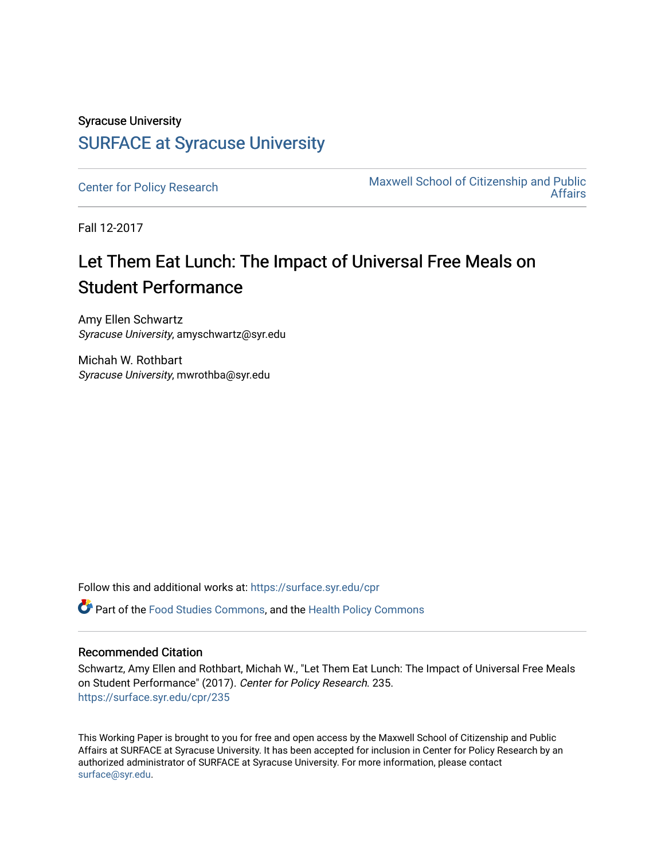# Syracuse University [SURFACE at Syracuse University](https://surface.syr.edu/)

[Center for Policy Research](https://surface.syr.edu/cpr) Maxwell School of Citizenship and Public [Affairs](https://surface.syr.edu/maxwell) 

Fall 12-2017

# Let Them Eat Lunch: The Impact of Universal Free Meals on Student Performance

Amy Ellen Schwartz Syracuse University, amyschwartz@syr.edu

Michah W. Rothbart Syracuse University, mwrothba@syr.edu

Follow this and additional works at: [https://surface.syr.edu/cpr](https://surface.syr.edu/cpr?utm_source=surface.syr.edu%2Fcpr%2F235&utm_medium=PDF&utm_campaign=PDFCoverPages) 

Part of the [Food Studies Commons](http://network.bepress.com/hgg/discipline/1386?utm_source=surface.syr.edu%2Fcpr%2F235&utm_medium=PDF&utm_campaign=PDFCoverPages), and the [Health Policy Commons](http://network.bepress.com/hgg/discipline/395?utm_source=surface.syr.edu%2Fcpr%2F235&utm_medium=PDF&utm_campaign=PDFCoverPages) 

#### Recommended Citation

Schwartz, Amy Ellen and Rothbart, Michah W., "Let Them Eat Lunch: The Impact of Universal Free Meals on Student Performance" (2017). Center for Policy Research. 235. [https://surface.syr.edu/cpr/235](https://surface.syr.edu/cpr/235?utm_source=surface.syr.edu%2Fcpr%2F235&utm_medium=PDF&utm_campaign=PDFCoverPages) 

This Working Paper is brought to you for free and open access by the Maxwell School of Citizenship and Public Affairs at SURFACE at Syracuse University. It has been accepted for inclusion in Center for Policy Research by an authorized administrator of SURFACE at Syracuse University. For more information, please contact [surface@syr.edu.](mailto:surface@syr.edu)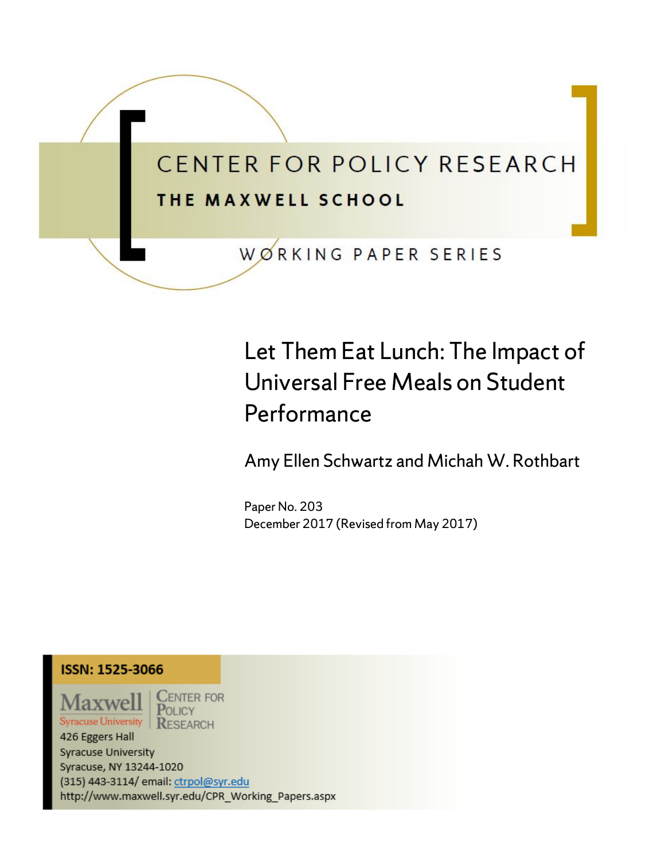

# Let Them Eat Lunch: The Impact of Universal Free Meals on Student Performance

Amy Ellen Schwartz and Michah W. Rothbart

Paper No. 203 December 2017 (Revised from May 2017)

# ISSN: 1525-3066

Maxwell **Syracuse University** 

**ENTER FOR** POLICY **RESEARCH** 

426 Eggers Hall Syracuse University Syracuse, NY 13244-1020 (315) 443-3114/ email: ctrpol@syr.edu http://www.maxwell.syr.edu/CPR\_Working\_Papers.aspx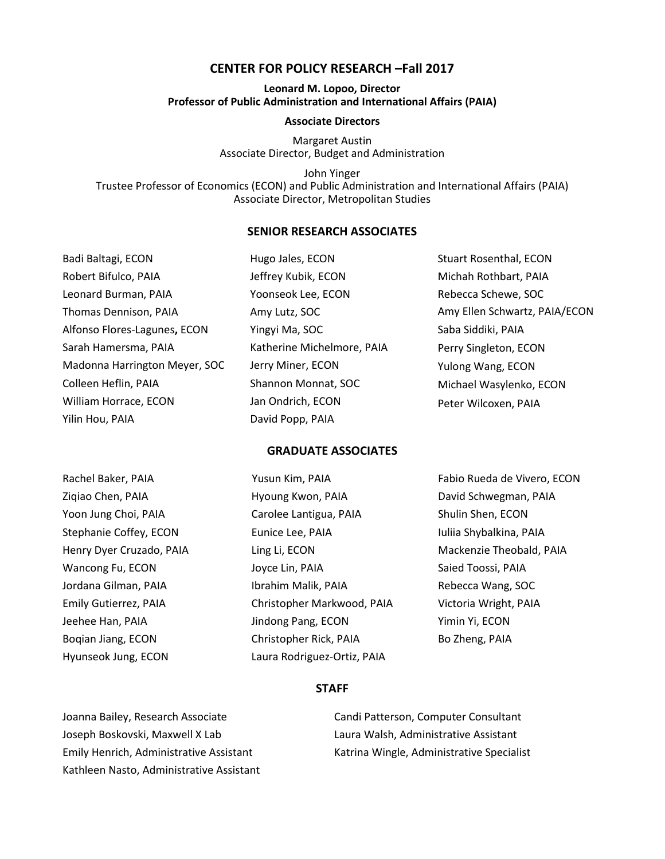#### **CENTER FOR POLICY RESEARCH –Fall 2017**

#### **Leonard M. Lopoo, Director Professor of Public Administration and International Affairs (PAIA)**

#### **Associate Directors**

Margaret Austin Associate Director, Budget and Administration

John Yinger Trustee Professor of Economics (ECON) and Public Administration and International Affairs (PAIA) Associate Director, Metropolitan Studies

#### **SENIOR RESEARCH ASSOCIATES**

| Badi Baltagi, ECON            | Hugo Jales, ECON           | <b>Stuart Rosenthal, ECON</b> |
|-------------------------------|----------------------------|-------------------------------|
| Robert Bifulco, PAIA          | Jeffrey Kubik, ECON        | Michah Rothbart, PAIA         |
| Leonard Burman, PAIA          | Yoonseok Lee, ECON         | Rebecca Schewe, SOC           |
| Thomas Dennison, PAIA         | Amy Lutz, SOC              | Amy Ellen Schwartz, PAIA/ECON |
| Alfonso Flores-Lagunes, ECON  | Yingyi Ma, SOC             | Saba Siddiki, PAIA            |
| Sarah Hamersma, PAIA          | Katherine Michelmore, PAIA | Perry Singleton, ECON         |
| Madonna Harrington Meyer, SOC | Jerry Miner, ECON          | Yulong Wang, ECON             |
| Colleen Heflin, PAIA          | Shannon Monnat, SOC        | Michael Wasylenko, ECON       |
| William Horrace, ECON         | Jan Ondrich, ECON          | Peter Wilcoxen, PAIA          |
| Yilin Hou, PAIA               | David Popp, PAIA           |                               |

#### **GRADUATE ASSOCIATES**

| Rachel Baker, PAIA       | Yusun Kim, PAIA             | Fabio Rueda de Vivero, ECON |
|--------------------------|-----------------------------|-----------------------------|
| Zigiao Chen, PAIA        | Hyoung Kwon, PAIA           | David Schwegman, PAIA       |
| Yoon Jung Choi, PAIA     | Carolee Lantigua, PAIA      | Shulin Shen, ECON           |
| Stephanie Coffey, ECON   | Eunice Lee, PAIA            | Iuliia Shybalkina, PAIA     |
| Henry Dyer Cruzado, PAIA | Ling Li, ECON               | Mackenzie Theobald, PAIA    |
| Wancong Fu, ECON         | Joyce Lin, PAIA             | Saied Toossi, PAIA          |
| Jordana Gilman, PAIA     | Ibrahim Malik, PAIA         | Rebecca Wang, SOC           |
| Emily Gutierrez, PAIA    | Christopher Markwood, PAIA  | Victoria Wright, PAIA       |
| Jeehee Han, PAIA         | Jindong Pang, ECON          | Yimin Yi, ECON              |
| Boqian Jiang, ECON       | Christopher Rick, PAIA      | Bo Zheng, PAIA              |
| Hyunseok Jung, ECON      | Laura Rodriguez-Ortiz, PAIA |                             |

#### **STAFF**

Joanna Bailey, Research Associate Joseph Boskovski, Maxwell X Lab Emily Henrich, Administrative Assistant Kathleen Nasto, Administrative Assistant

Candi Patterson, Computer Consultant Laura Walsh, Administrative Assistant Katrina Wingle, Administrative Specialist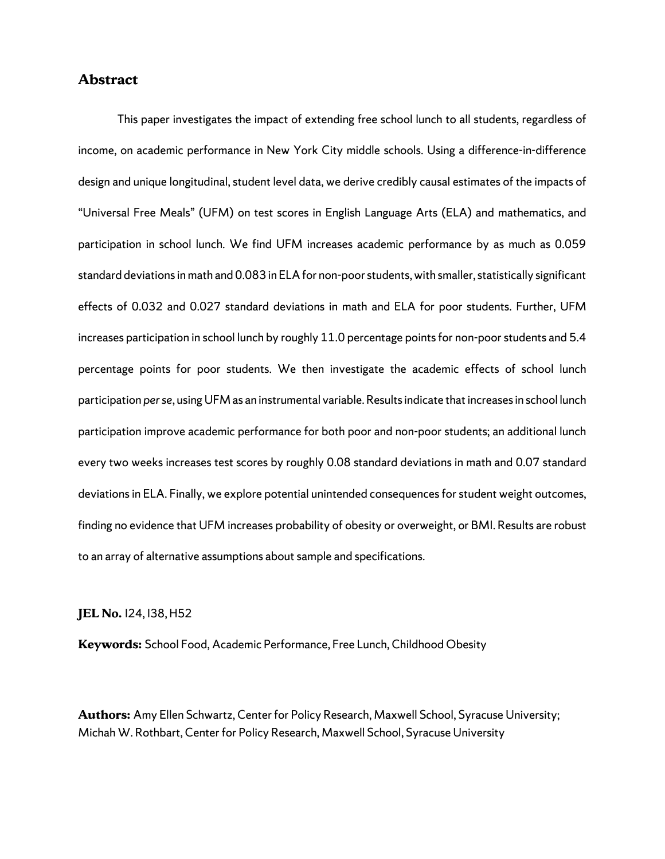#### **Abstract**

This paper investigates the impact of extending free school lunch to all students, regardless of income, on academic performance in New York City middle schools. Using a difference-in-difference design and unique longitudinal, student level data, we derive credibly causal estimates of the impacts of "Universal Free Meals" (UFM) on test scores in English Language Arts (ELA) and mathematics, and participation in school lunch. We find UFM increases academic performance by as much as 0.059 standard deviations in math and 0.083 in ELA for non-poor students, with smaller, statistically significant effects of 0.032 and 0.027 standard deviations in math and ELA for poor students. Further, UFM increases participation in school lunch by roughly 11.0 percentage points for non-poor students and 5.4 percentage points for poor students. We then investigate the academic effects of school lunch participation *per se*, using UFM as an instrumental variable. Results indicate that increases in school lunch participation improve academic performance for both poor and non-poor students; an additional lunch every two weeks increases test scores by roughly 0.08 standard deviations in math and 0.07 standard deviations in ELA. Finally, we explore potential unintended consequences for student weight outcomes, finding no evidence that UFM increases probability of obesity or overweight, or BMI. Results are robust to an array of alternative assumptions about sample and specifications.

#### **JEL No.** I24, I38, H52

**Keywords:** School Food, Academic Performance, Free Lunch, Childhood Obesity

**Authors:** Amy Ellen Schwartz, Center for Policy Research, Maxwell School, Syracuse University; Michah W. Rothbart, Center for Policy Research, Maxwell School, Syracuse University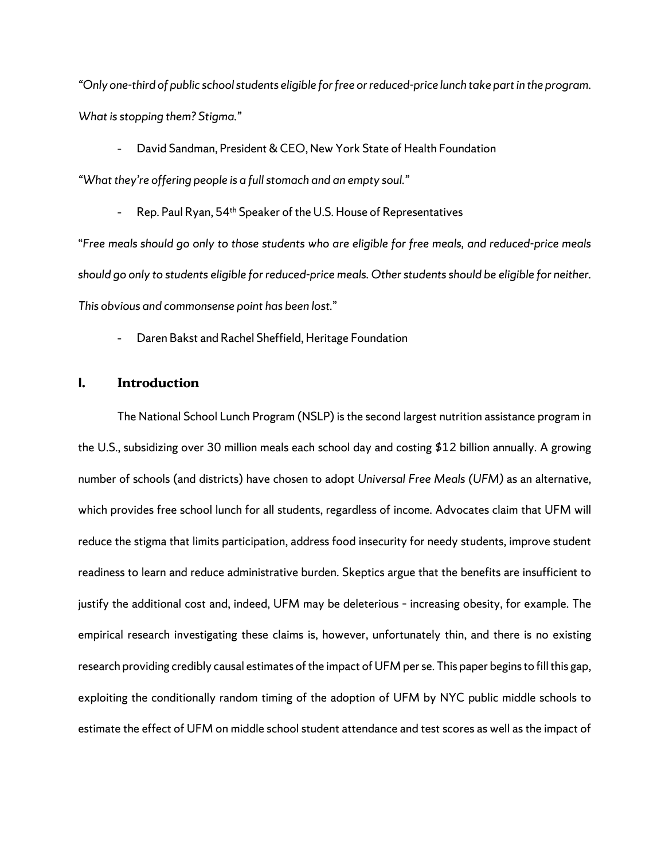*"Only one-third of public school students eligible for free or reduced-price lunch take part in the program. What is stopping them? Stigma."* 

- David Sandman, President & CEO, New York State of Health Foundation

*"What they're offering people is a full stomach and an empty soul."*

- Rep. Paul Ryan, 54<sup>th</sup> Speaker of the U.S. House of Representatives

"*Free meals should go only to those students who are eligible for free meals, and reduced-price meals should go only to students eligible for reduced-price meals. Other students should be eligible for neither. This obvious and commonsense point has been lost.*"

- Daren Bakst and Rachel Sheffield, Heritage Foundation

#### **I. Introduction**

The National School Lunch Program (NSLP) is the second largest nutrition assistance program in the U.S., subsidizing over 30 million meals each school day and costing \$12 billion annually. A growing number of schools (and districts) have chosen to adopt *Universal Free Meals (UFM)* as an alternative*,* which provides free school lunch for all students, regardless of income. Advocates claim that UFM will reduce the stigma that limits participation, address food insecurity for needy students, improve student readiness to learn and reduce administrative burden. Skeptics argue that the benefits are insufficient to justify the additional cost and, indeed, UFM may be deleterious – increasing obesity, for example. The empirical research investigating these claims is, however, unfortunately thin, and there is no existing research providing credibly causal estimates of the impact of UFM per se. This paper begins to fill this gap, exploiting the conditionally random timing of the adoption of UFM by NYC public middle schools to estimate the effect of UFM on middle school student attendance and test scores as well asthe impact of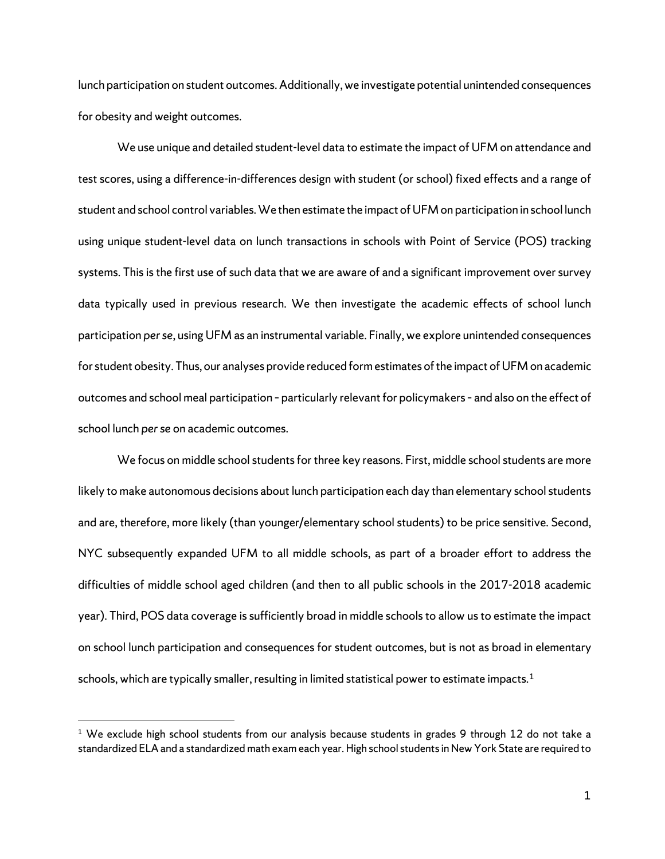lunch participation on student outcomes. Additionally, we investigate potential unintended consequences for obesity and weight outcomes.

We use unique and detailed student-level data to estimate the impact of UFM on attendance and test scores, using a difference-in-differences design with student (or school) fixed effects and a range of student and school control variables. We then estimate the impact of UFM on participation in school lunch using unique student-level data on lunch transactions in schools with Point of Service (POS) tracking systems. This is the first use of such data that we are aware of and a significant improvement over survey data typically used in previous research. We then investigate the academic effects of school lunch participation *per se*, using UFM as an instrumental variable. Finally, we explore unintended consequences for student obesity. Thus, our analyses provide reduced form estimates of the impact of UFM on academic outcomes and school meal participation – particularly relevant for policymakers – and also on the effect of school lunch *per se* on academic outcomes.

We focus on middle school students for three key reasons. First, middle school students are more likely to make autonomous decisions about lunch participation each day than elementary school students and are, therefore, more likely (than younger/elementary school students) to be price sensitive. Second, NYC subsequently expanded UFM to all middle schools, as part of a broader effort to address the difficulties of middle school aged children (and then to all public schools in the 2017-2018 academic year). Third, POS data coverage is sufficiently broad in middle schoolsto allow us to estimate the impact on school lunch participation and consequences for student outcomes, but is not as broad in elementary schools, which are typically smaller, resulting in limited statistical power to estimate impacts.<sup>[1](#page-5-0)</sup>

<span id="page-5-0"></span> $1$  We exclude high school students from our analysis because students in grades 9 through 12 do not take a standardized ELA and a standardized math exam each year. High school students in New York State are required to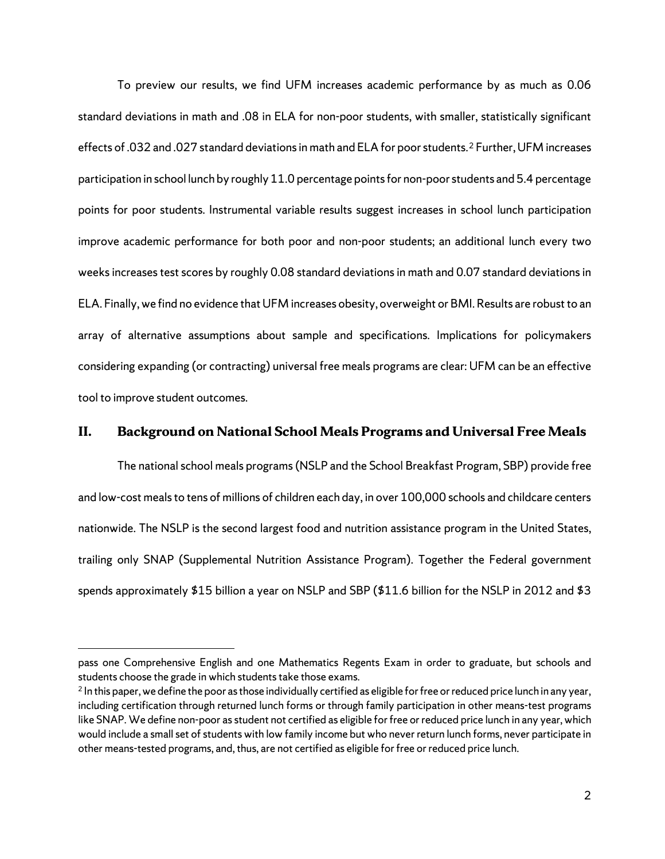To preview our results, we find UFM increases academic performance by as much as 0.06 standard deviations in math and .08 in ELA for non-poor students, with smaller, statistically significant effects of .03[2](#page-6-0) and .027 standard deviations in math and ELA for poor students.<sup>2</sup> Further, UFM increases participation in school lunch by roughly 11.0 percentage points for non-poor students and 5.4 percentage points for poor students. Instrumental variable results suggest increases in school lunch participation improve academic performance for both poor and non-poor students; an additional lunch every two weeks increases test scores by roughly 0.08 standard deviations in math and 0.07 standard deviations in ELA. Finally, we find no evidence that UFM increases obesity, overweight or BMI. Results are robust to an array of alternative assumptions about sample and specifications. Implications for policymakers considering expanding (or contracting) universal free meals programs are clear: UFM can be an effective tool to improve student outcomes.

#### **II. Background on National School Meals Programs and Universal Free Meals**

The national school meals programs (NSLP and the School Breakfast Program, SBP) provide free and low-cost meals to tens of millions of children each day, in over 100,000 schools and childcare centers nationwide. The NSLP is the second largest food and nutrition assistance program in the United States, trailing only SNAP (Supplemental Nutrition Assistance Program). Together the Federal government spends approximately \$15 billion a year on NSLP and SBP (\$11.6 billion for the NSLP in 2012 and \$3

pass one Comprehensive English and one Mathematics Regents Exam in order to graduate, but schools and students choose the grade in which students take those exams.

<span id="page-6-0"></span> $2$  In this paper, we define the poor as those individually certified as eligible for free or reduced price lunch in any year, including certification through returned lunch forms or through family participation in other means-test programs like SNAP. We define non-poor as student not certified as eligible for free or reduced price lunch in any year, which would include a small set of students with low family income but who never return lunch forms, never participate in other means-tested programs, and, thus, are not certified as eligible for free or reduced price lunch.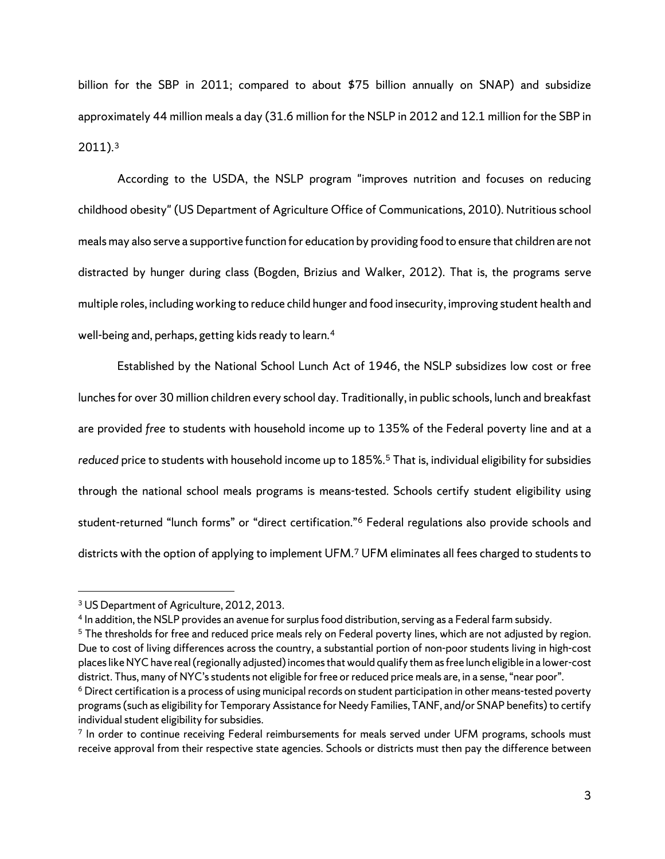billion for the SBP in 2011; compared to about \$75 billion annually on SNAP) and subsidize approximately 44 million meals a day (31.6 million for the NSLP in 2012 and 12.1 million for the SBP in 2011).[3](#page-7-0)

According to the USDA, the NSLP program "improves nutrition and focuses on reducing childhood obesity" (US Department of Agriculture Office of Communications, 2010). Nutritious school meals may also serve a supportive function for education by providing food to ensure that children are not distracted by hunger during class (Bogden, Brizius and Walker, 2012). That is, the programs serve multiple roles, including working to reduce child hunger and food insecurity, improving student health and well-being and, perhaps, getting kids ready to learn.<sup>[4](#page-7-1)</sup>

Established by the National School Lunch Act of 1946, the NSLP subsidizes low cost or free lunches for over 30 million children every school day. Traditionally, in public schools, lunch and breakfast are provided *free* to students with household income up to 135% of the Federal poverty line and at a *reduced* price to students with household income up to 185%. [5](#page-7-2) That is, individual eligibility for subsidies through the national school meals programs is means-tested. Schools certify student eligibility using student-returned "lunch forms" or "direct certification."[6](#page-7-3) Federal regulations also provide schools and districts with the option of applying to implement UFM.[7](#page-7-4) UFM eliminates all fees charged to students to

<span id="page-7-0"></span><sup>&</sup>lt;sup>3</sup> US Department of Agriculture, 2012, 2013.

<span id="page-7-1"></span><sup>4</sup> In addition, the NSLP provides an avenue for surplus food distribution, serving as a Federal farm subsidy.

<span id="page-7-2"></span><sup>&</sup>lt;sup>5</sup> The thresholds for free and reduced price meals rely on Federal poverty lines, which are not adjusted by region. Due to cost of living differences across the country, a substantial portion of non-poor students living in high-cost places like NYC have real (regionally adjusted) incomes that would qualify them as free lunch eligible in a lower-cost district. Thus, many of NYC's students not eligible for free or reduced price meals are, in a sense, "near poor".

<span id="page-7-3"></span><sup>&</sup>lt;sup>6</sup> Direct certification is a process of using municipal records on student participation in other means-tested poverty programs (such as eligibility for Temporary Assistance for Needy Families, TANF, and/or SNAP benefits) to certify individual student eligibility for subsidies.

<span id="page-7-4"></span><sup>&</sup>lt;sup>7</sup> In order to continue receiving Federal reimbursements for meals served under UFM programs, schools must receive approval from their respective state agencies. Schools or districts must then pay the difference between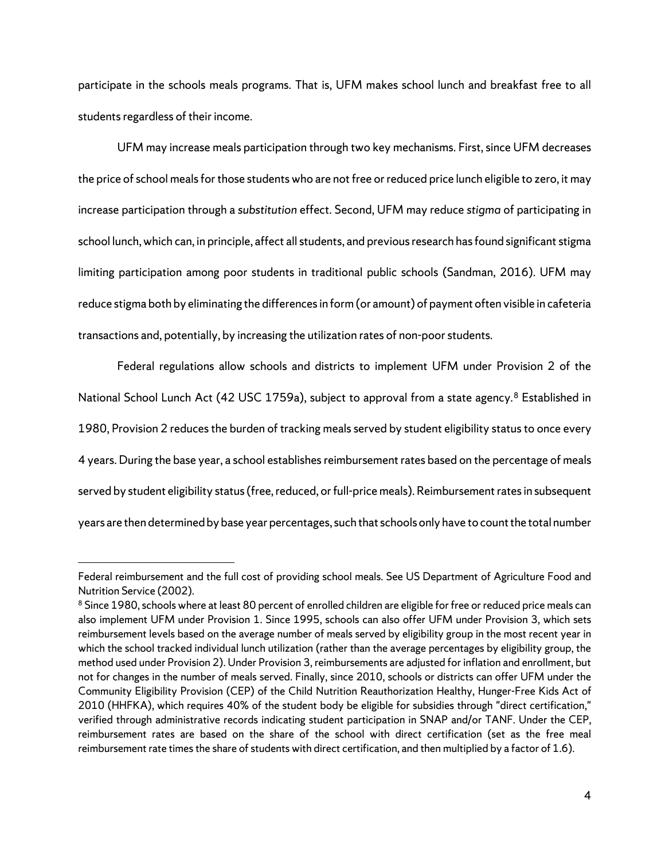participate in the schools meals programs. That is, UFM makes school lunch and breakfast free to all students regardless of their income.

UFM may increase meals participation through two key mechanisms. First, since UFM decreases the price of school meals for those students who are not free or reduced price lunch eligible to zero, it may increase participation through a *substitution* effect. Second, UFM may reduce *stigma* of participating in school lunch, which can, in principle, affect all students, and previous research has found significant stigma limiting participation among poor students in traditional public schools (Sandman, 2016). UFM may reduce stigma both by eliminating the differences in form (or amount) of payment often visible in cafeteria transactions and, potentially, by increasing the utilization rates of non-poor students.

Federal regulations allow schools and districts to implement UFM under Provision 2 of the National School Lunch Act (42 USC 1759a), subject to approval from a state agency.<sup>[8](#page-8-0)</sup> Established in 1980, Provision 2 reduces the burden of tracking meals served by student eligibility status to once every 4 years. During the base year, a school establishes reimbursement rates based on the percentage of meals served by student eligibility status (free, reduced, or full-price meals). Reimbursement rates in subsequent years are then determined by base year percentages, such that schools only have to count the total number

Federal reimbursement and the full cost of providing school meals. See US Department of Agriculture Food and Nutrition Service (2002).

<span id="page-8-0"></span><sup>&</sup>lt;sup>8</sup> Since 1980, schools where at least 80 percent of enrolled children are eligible for free or reduced price meals can also implement UFM under Provision 1. Since 1995, schools can also offer UFM under Provision 3, which sets reimbursement levels based on the average number of meals served by eligibility group in the most recent year in which the school tracked individual lunch utilization (rather than the average percentages by eligibility group, the method used under Provision 2). Under Provision 3, reimbursements are adjusted for inflation and enrollment, but not for changes in the number of meals served. Finally, since 2010, schools or districts can offer UFM under the Community Eligibility Provision (CEP) of the Child Nutrition Reauthorization Healthy, Hunger-Free Kids Act of 2010 (HHFKA), which requires 40% of the student body be eligible for subsidies through "direct certification," verified through administrative records indicating student participation in SNAP and/or TANF. Under the CEP, reimbursement rates are based on the share of the school with direct certification (set as the free meal reimbursement rate times the share of students with direct certification, and then multiplied by a factor of 1.6).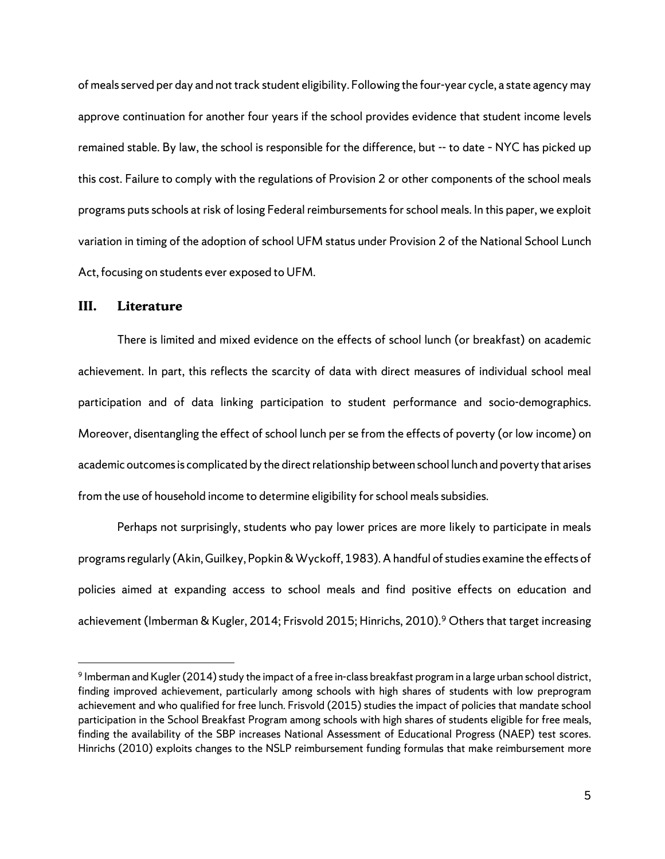of meals served per day and not track student eligibility. Following the four-year cycle, a state agency may approve continuation for another four years if the school provides evidence that student income levels remained stable. By law, the school is responsible for the difference, but -- to date – NYC has picked up this cost. Failure to comply with the regulations of Provision 2 or other components of the school meals programs puts schools at risk of losing Federal reimbursements for school meals. In this paper, we exploit variation in timing of the adoption of school UFM status under Provision 2 of the National School Lunch Act, focusing on students ever exposed to UFM.

#### **III. Literature**

There is limited and mixed evidence on the effects of school lunch (or breakfast) on academic achievement. In part, this reflects the scarcity of data with direct measures of individual school meal participation and of data linking participation to student performance and socio-demographics. Moreover, disentangling the effect of school lunch per se from the effects of poverty (or low income) on academic outcomesis complicated by the direct relationship between school lunch and poverty that arises from the use of household income to determine eligibility for school meals subsidies.

Perhaps not surprisingly, students who pay lower prices are more likely to participate in meals programs regularly (Akin, Guilkey, Popkin & Wyckoff, 1983). A handful of studies examine the effects of policies aimed at expanding access to school meals and find positive effects on education and achievement (Imberman & Kugler, 2014; Frisvold 2015; Hinrichs, 2010). [9](#page-9-0) Others that target increasing

<span id="page-9-0"></span><sup>&</sup>lt;sup>9</sup> Imberman and Kugler (2014) study the impact of a free in-class breakfast program in a large urban school district, finding improved achievement, particularly among schools with high shares of students with low preprogram achievement and who qualified for free lunch. Frisvold (2015) studies the impact of policies that mandate school participation in the School Breakfast Program among schools with high shares of students eligible for free meals, finding the availability of the SBP increases National Assessment of Educational Progress (NAEP) test scores. Hinrichs (2010) exploits changes to the NSLP reimbursement funding formulas that make reimbursement more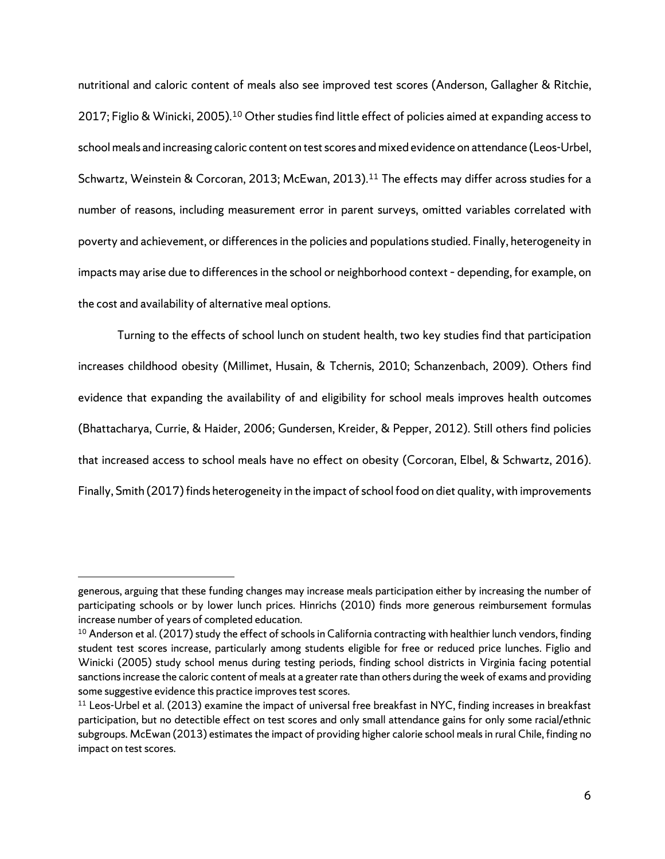nutritional and caloric content of meals also see improved test scores (Anderson, Gallagher & Ritchie, 2017; Figlio & Winicki, 2005).<sup>[10](#page-10-0)</sup> Other studies find little effect of policies aimed at expanding access to school meals and increasing caloric content on test scores andmixed evidence on attendance (Leos-Urbel, Schwartz, Weinstein & Corcoran, 2013; McEwan, 2013).<sup>[11](#page-10-1)</sup> The effects may differ across studies for a number of reasons, including measurement error in parent surveys, omitted variables correlated with poverty and achievement, or differences in the policies and populations studied. Finally, heterogeneity in impacts may arise due to differences in the school or neighborhood context – depending, for example, on the cost and availability of alternative meal options.

Turning to the effects of school lunch on student health, two key studies find that participation increases childhood obesity (Millimet, Husain, & Tchernis, 2010; Schanzenbach, 2009). Others find evidence that expanding the availability of and eligibility for school meals improves health outcomes (Bhattacharya, Currie, & Haider, 2006; Gundersen, Kreider, & Pepper, 2012). Still others find policies that increased access to school meals have no effect on obesity (Corcoran, Elbel, & Schwartz, 2016). Finally, Smith (2017) finds heterogeneity in the impact of school food on diet quality, with improvements

generous, arguing that these funding changes may increase meals participation either by increasing the number of participating schools or by lower lunch prices. Hinrichs (2010) finds more generous reimbursement formulas increase number of years of completed education.

<span id="page-10-0"></span> $10$  Anderson et al. (2017) study the effect of schools in California contracting with healthier lunch vendors, finding student test scores increase, particularly among students eligible for free or reduced price lunches. Figlio and Winicki (2005) study school menus during testing periods, finding school districts in Virginia facing potential sanctions increase the caloric content of meals at a greater rate than others during the week of exams and providing some suggestive evidence this practice improves test scores.

<span id="page-10-1"></span> $11$  Leos-Urbel et al. (2013) examine the impact of universal free breakfast in NYC, finding increases in breakfast participation, but no detectible effect on test scores and only small attendance gains for only some racial/ethnic subgroups. McEwan (2013) estimates the impact of providing higher calorie school meals in rural Chile, finding no impact on test scores.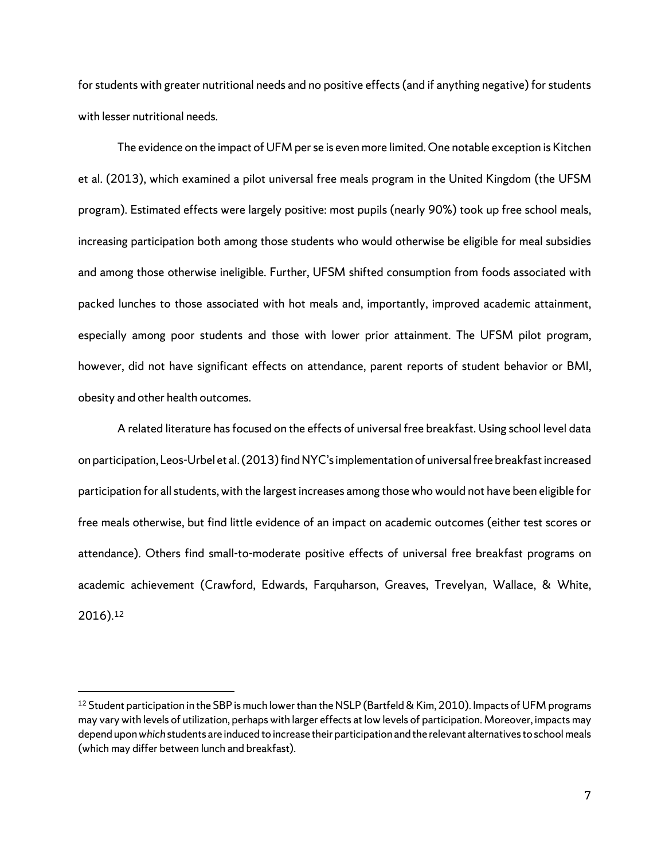for students with greater nutritional needs and no positive effects (and if anything negative) for students with lesser nutritional needs.

The evidence on the impact of UFM per se is even more limited. One notable exception is Kitchen et al. (2013), which examined a pilot universal free meals program in the United Kingdom (the UFSM program). Estimated effects were largely positive: most pupils (nearly 90%) took up free school meals, increasing participation both among those students who would otherwise be eligible for meal subsidies and among those otherwise ineligible. Further, UFSM shifted consumption from foods associated with packed lunches to those associated with hot meals and, importantly, improved academic attainment, especially among poor students and those with lower prior attainment. The UFSM pilot program, however, did not have significant effects on attendance, parent reports of student behavior or BMI, obesity and other health outcomes.

A related literature has focused on the effects of universal free breakfast. Using school level data on participation, Leos-Urbel et al. (2013) find NYC's implementation of universal free breakfast increased participation for all students, with the largest increases among those who would not have been eligible for free meals otherwise, but find little evidence of an impact on academic outcomes (either test scores or attendance). Others find small-to-moderate positive effects of universal free breakfast programs on academic achievement (Crawford, Edwards, Farquharson, Greaves, Trevelyan, Wallace, & White, 2016).[12](#page-11-0)

<span id="page-11-0"></span><sup>&</sup>lt;sup>12</sup> Student participation in the SBP is much lower than the NSLP (Bartfeld & Kim, 2010). Impacts of UFM programs may vary with levels of utilization, perhaps with larger effects at low levels of participation. Moreover, impacts may depend upon *which* students are induced to increase their participation and the relevant alternatives to school meals (which may differ between lunch and breakfast).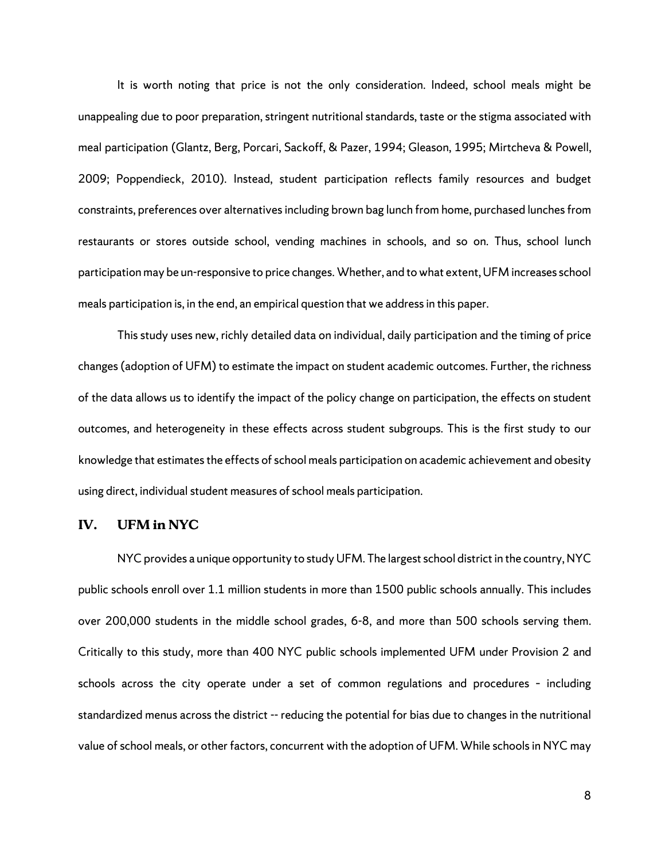It is worth noting that price is not the only consideration. Indeed, school meals might be unappealing due to poor preparation, stringent nutritional standards, taste or the stigma associated with meal participation (Glantz, Berg, Porcari, Sackoff, & Pazer, 1994; Gleason, 1995; Mirtcheva & Powell, 2009; Poppendieck, 2010). Instead, student participation reflects family resources and budget constraints, preferences over alternatives including brown bag lunch from home, purchased lunches from restaurants or stores outside school, vending machines in schools, and so on. Thus, school lunch participation may be un-responsive to price changes. Whether, and to what extent, UFM increases school meals participation is, in the end, an empirical question that we address in this paper.

This study uses new, richly detailed data on individual, daily participation and the timing of price changes (adoption of UFM) to estimate the impact on student academic outcomes. Further, the richness of the data allows us to identify the impact of the policy change on participation, the effects on student outcomes, and heterogeneity in these effects across student subgroups. This is the first study to our knowledge that estimates the effects of school meals participation on academic achievement and obesity using direct, individual student measures of school meals participation.

#### **IV. UFM in NYC**

NYC provides a unique opportunity to study UFM. The largest school district in the country, NYC public schools enroll over 1.1 million students in more than 1500 public schools annually. This includes over 200,000 students in the middle school grades, 6-8, and more than 500 schools serving them. Critically to this study, more than 400 NYC public schools implemented UFM under Provision 2 and schools across the city operate under a set of common regulations and procedures – including standardized menus across the district -- reducing the potential for bias due to changes in the nutritional value of school meals, or other factors, concurrent with the adoption of UFM. While schools in NYC may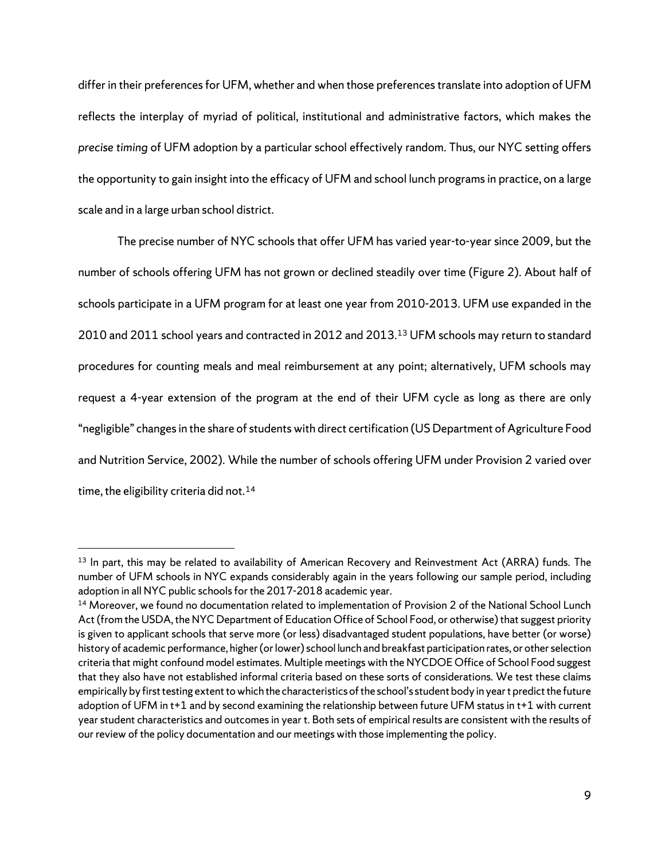differ in their preferences for UFM, whether and when those preferences translate into adoption of UFM reflects the interplay of myriad of political, institutional and administrative factors, which makes the *precise timing* of UFM adoption by a particular school effectively random. Thus, our NYC setting offers the opportunity to gain insight into the efficacy of UFM and school lunch programs in practice, on a large scale and in a large urban school district.

The precise number of NYC schools that offer UFM has varied year-to-year since 2009, but the number of schools offering UFM has not grown or declined steadily over time (Figure 2). About half of schools participate in a UFM program for at least one year from 2010-2013. UFM use expanded in the 2010 and 2011 school years and contracted in 2012 and 2013.[13](#page-13-0) UFM schools may return to standard procedures for counting meals and meal reimbursement at any point; alternatively, UFM schools may request a 4-year extension of the program at the end of their UFM cycle as long as there are only "negligible" changes in the share of students with direct certification (US Department of Agriculture Food and Nutrition Service, 2002). While the number of schools offering UFM under Provision 2 varied over time, the eligibility criteria did not.<sup>[14](#page-13-1)</sup>

<span id="page-13-0"></span><sup>&</sup>lt;sup>13</sup> In part, this may be related to availability of American Recovery and Reinvestment Act (ARRA) funds. The number of UFM schools in NYC expands considerably again in the years following our sample period, including adoption in all NYC public schools for the 2017-2018 academic year.

<span id="page-13-1"></span><sup>&</sup>lt;sup>14</sup> Moreover, we found no documentation related to implementation of Provision 2 of the National School Lunch Act (from the USDA, the NYC Department of Education Office of School Food, or otherwise) that suggest priority is given to applicant schools that serve more (or less) disadvantaged student populations, have better (or worse) history of academic performance, higher (or lower) school lunch and breakfast participation rates, or other selection criteria that might confound model estimates. Multiple meetings with the NYCDOE Office of School Food suggest that they also have not established informal criteria based on these sorts of considerations. We test these claims empirically by first testing extent to which the characteristics of the school's student body in year t predict the future adoption of UFM in t+1 and by second examining the relationship between future UFM status in t+1 with current year student characteristics and outcomes in year t. Both sets of empirical results are consistent with the results of our review of the policy documentation and our meetings with those implementing the policy.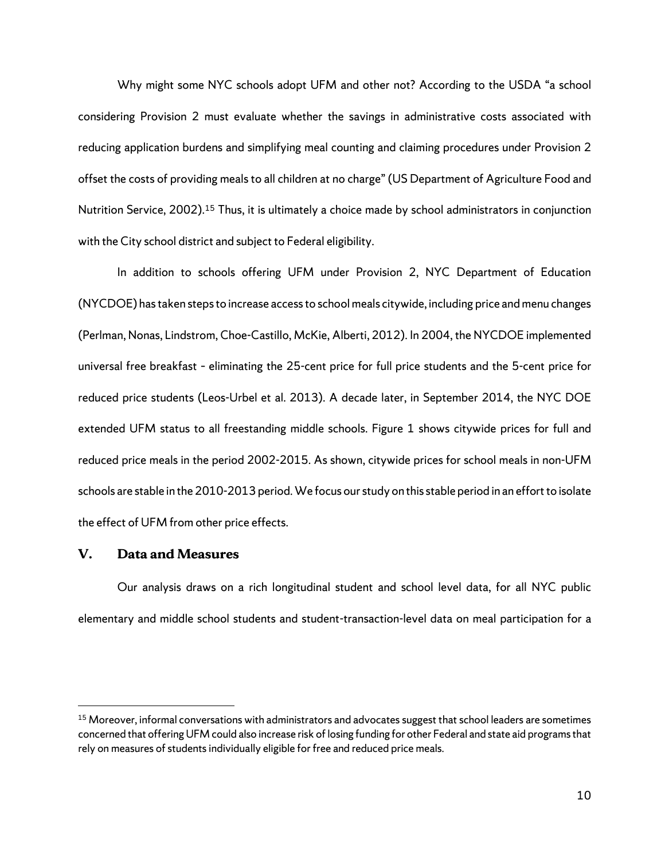Why might some NYC schools adopt UFM and other not? According to the USDA "a school considering Provision 2 must evaluate whether the savings in administrative costs associated with reducing application burdens and simplifying meal counting and claiming procedures under Provision 2 offset the costs of providing meals to all children at no charge" (US Department of Agriculture Food and Nutrition Service, 2002).[15](#page-14-0) Thus, it is ultimately a choice made by school administrators in conjunction with the City school district and subject to Federal eligibility.

In addition to schools offering UFM under Provision 2, NYC Department of Education (NYCDOE) has taken steps to increase access to school meals citywide, including price and menu changes (Perlman, Nonas, Lindstrom, Choe-Castillo, McKie, Alberti, 2012). In 2004, the NYCDOE implemented universal free breakfast – eliminating the 25-cent price for full price students and the 5-cent price for reduced price students (Leos-Urbel et al. 2013). A decade later, in September 2014, the NYC DOE extended UFM status to all freestanding middle schools. Figure 1 shows citywide prices for full and reduced price meals in the period 2002-2015. As shown, citywide prices for school meals in non-UFM schools are stable in the 2010-2013 period. We focus our study on thisstable period in an effort to isolate the effect of UFM from other price effects.

#### **V. Data and Measures**

Our analysis draws on a rich longitudinal student and school level data, for all NYC public elementary and middle school students and student-transaction-level data on meal participation for a

<span id="page-14-0"></span><sup>&</sup>lt;sup>15</sup> Moreover, informal conversations with administrators and advocates suggest that school leaders are sometimes concerned that offering UFM could also increase risk of losing funding for other Federal and state aid programs that rely on measures of students individually eligible for free and reduced price meals.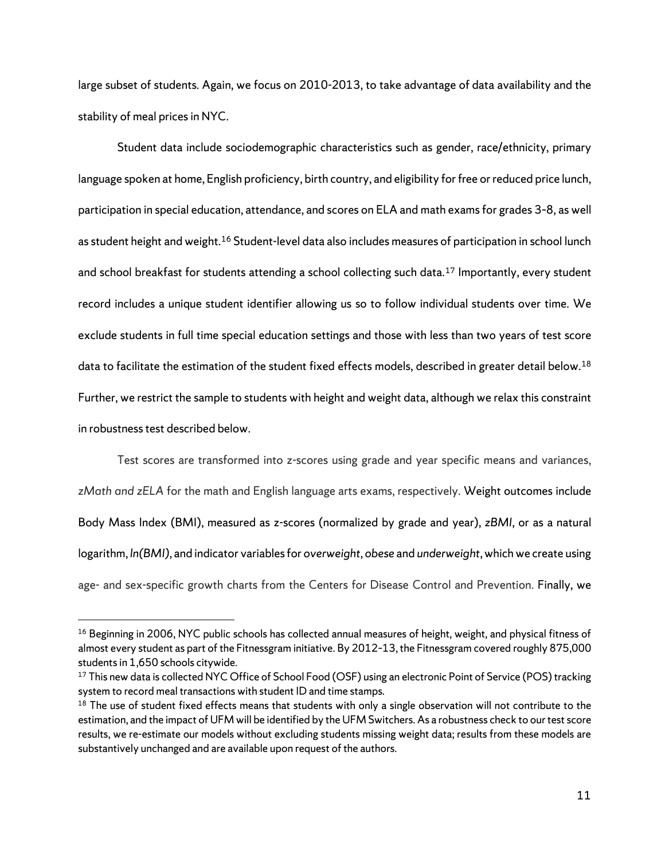large subset of students. Again, we focus on 2010-2013, to take advantage of data availability and the stability of meal prices in NYC.

Student data include sociodemographic characteristics such as gender, race/ethnicity, primary language spoken at home, English proficiency, birth country, and eligibility for free or reduced price lunch, participation in special education, attendance, and scores on ELA and math examsfor grades 3–8, as well as student height and weight.[16](#page-15-0) Student-level data also includes measures of participation in school lunch and school breakfast for students attending a school collecting such data.<sup>[17](#page-15-1)</sup> Importantly, every student record includes a unique student identifier allowing us so to follow individual students over time. We exclude students in full time special education settings and those with less than two years of test score data to facilitate the estimation of the student fixed effects models, described in greater detail below.<sup>[18](#page-15-2)</sup> Further, we restrict the sample to students with height and weight data, although we relax this constraint in robustness test described below.

Test scores are transformed into z-scores using grade and year specific means and variances, *zMath and zELA* for the math and English language arts exams, respectively. Weight outcomes include Body Mass Index (BMI), measured as z-scores (normalized by grade and year), *zBMI*, or as a natural logarithm, *ln(BMI)*, and indicator variables for *overweight*, *obese* and *underweight*, which we create using age- and sex-specific growth charts from the Centers for Disease Control and Prevention. Finally, we

<span id="page-15-0"></span><sup>&</sup>lt;sup>16</sup> Beginning in 2006, NYC public schools has collected annual measures of height, weight, and physical fitness of almost every student as part of the Fitnessgram initiative. By 2012–13, the Fitnessgram covered roughly 875,000 students in 1,650 schools citywide.

<span id="page-15-1"></span><sup>&</sup>lt;sup>17</sup> This new data is collected NYC Office of School Food (OSF) using an electronic Point of Service (POS) tracking system to record meal transactions with student ID and time stamps.

<span id="page-15-2"></span><sup>&</sup>lt;sup>18</sup> The use of student fixed effects means that students with only a single observation will not contribute to the estimation, and the impact of UFM will be identified by the UFM Switchers. As a robustness check to our test score results, we re-estimate our models without excluding students missing weight data; results from these models are substantively unchanged and are available upon request of the authors.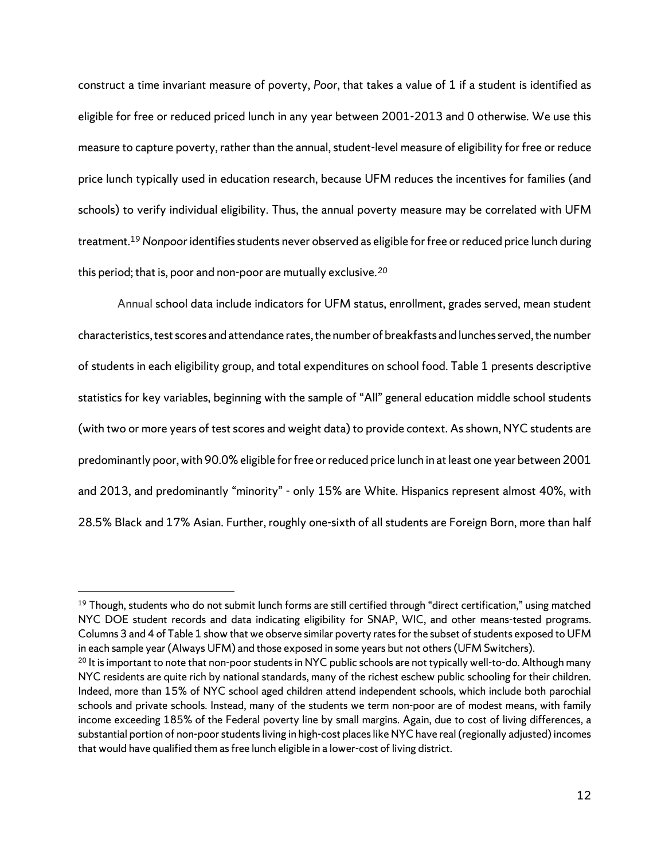construct a time invariant measure of poverty, *Poor*, that takes a value of 1 if a student is identified as eligible for free or reduced priced lunch in any year between 2001-2013 and 0 otherwise. We use this measure to capture poverty, rather than the annual, student-level measure of eligibility for free or reduce price lunch typically used in education research, because UFM reduces the incentives for families (and schools) to verify individual eligibility. Thus, the annual poverty measure may be correlated with UFM treatment.[19](#page-16-0)*Nonpoor* identifies students never observed as eligible for free or reduced price lunch during this period; that is, poor and non-poor are mutually exclusive.*[20](#page-16-1)*

Annual school data include indicators for UFM status, enrollment, grades served, mean student characteristics, test scores and attendance rates, the number of breakfasts and lunches served, the number of students in each eligibility group, and total expenditures on school food. Table 1 presents descriptive statistics for key variables, beginning with the sample of "All" general education middle school students (with two or more years of test scores and weight data) to provide context. Asshown, NYC students are predominantly poor, with 90.0% eligible for free or reduced price lunch in at least one year between 2001 and 2013, and predominantly "minority" - only 15% are White. Hispanics represent almost 40%, with 28.5% Black and 17% Asian. Further, roughly one-sixth of all students are Foreign Born, more than half

<span id="page-16-0"></span> $19$  Though, students who do not submit lunch forms are still certified through "direct certification," using matched NYC DOE student records and data indicating eligibility for SNAP, WIC, and other means-tested programs. Columns 3 and 4 of Table 1 show that we observe similar poverty rates for the subset of students exposed to UFM in each sample year (Always UFM) and those exposed in some years but not others (UFM Switchers).

<span id="page-16-1"></span><sup>&</sup>lt;sup>20</sup> It is important to note that non-poor students in NYC public schools are not typically well-to-do. Although many NYC residents are quite rich by national standards, many of the richest eschew public schooling for their children. Indeed, more than 15% of NYC school aged children attend independent schools, which include both parochial schools and private schools. Instead, many of the students we term non-poor are of modest means, with family income exceeding 185% of the Federal poverty line by small margins. Again, due to cost of living differences, a substantial portion of non-poor students living in high-cost places like NYC have real (regionally adjusted) incomes that would have qualified them as free lunch eligible in a lower-cost of living district.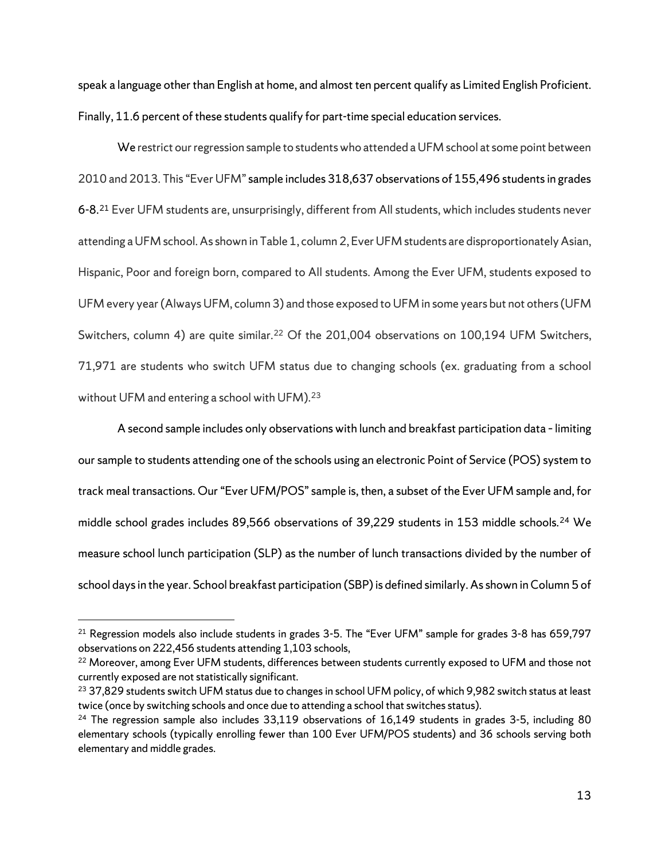speak a language other than English at home, and almost ten percent qualify as Limited English Proficient. Finally, 11.6 percent of these students qualify for part-time special education services.

We restrict our regression sample to students who attended a UFM school at some point between 2010 and 2013. This "Ever UFM" sample includes 318,637 observations of 155,496 students in grades 6-8. [21](#page-17-0) Ever UFM students are, unsurprisingly, different from All students, which includes students never attending a UFM school. As shown in Table 1, column 2, Ever UFM students are disproportionately Asian, Hispanic, Poor and foreign born, compared to All students. Among the Ever UFM, students exposed to UFM every year (Always UFM, column 3) and those exposed to UFM in some years but not others (UFM Switchers, column 4) are quite similar.<sup>[22](#page-17-1)</sup> Of the 201,004 observations on 100,194 UFM Switchers, 71,971 are students who switch UFM status due to changing schools (ex. graduating from a school without UFM and entering a school with UFM).<sup>[23](#page-17-2)</sup>

A second sample includes only observations with lunch and breakfast participation data - limiting our sample to students attending one of the schools using an electronic Point of Service (POS) system to track meal transactions. Our "Ever UFM/POS" sample is, then, a subset of the Ever UFM sample and, for middle school grades includes 89,566 observations of 39,229 students in 153 middle schools.<sup>[24](#page-17-3)</sup> We measure school lunch participation (SLP) as the number of lunch transactions divided by the number of school days in the year. School breakfast participation (SBP) is defined similarly. As shown in Column 5 of

<span id="page-17-0"></span><sup>&</sup>lt;sup>21</sup> Regression models also include students in grades 3-5. The "Ever UFM" sample for grades 3-8 has 659,797 observations on 222,456 students attending 1,103 schools,

<span id="page-17-1"></span><sup>&</sup>lt;sup>22</sup> Moreover, among Ever UFM students, differences between students currently exposed to UFM and those not currently exposed are not statistically significant.

<span id="page-17-2"></span><sup>&</sup>lt;sup>23</sup> 37,829 students switch UFM status due to changes in school UFM policy, of which 9,982 switch status at least twice (once by switching schools and once due to attending a school that switches status).

<span id="page-17-3"></span> $24$  The regression sample also includes 33,119 observations of 16,149 students in grades 3-5, including 80 elementary schools (typically enrolling fewer than 100 Ever UFM/POS students) and 36 schools serving both elementary and middle grades.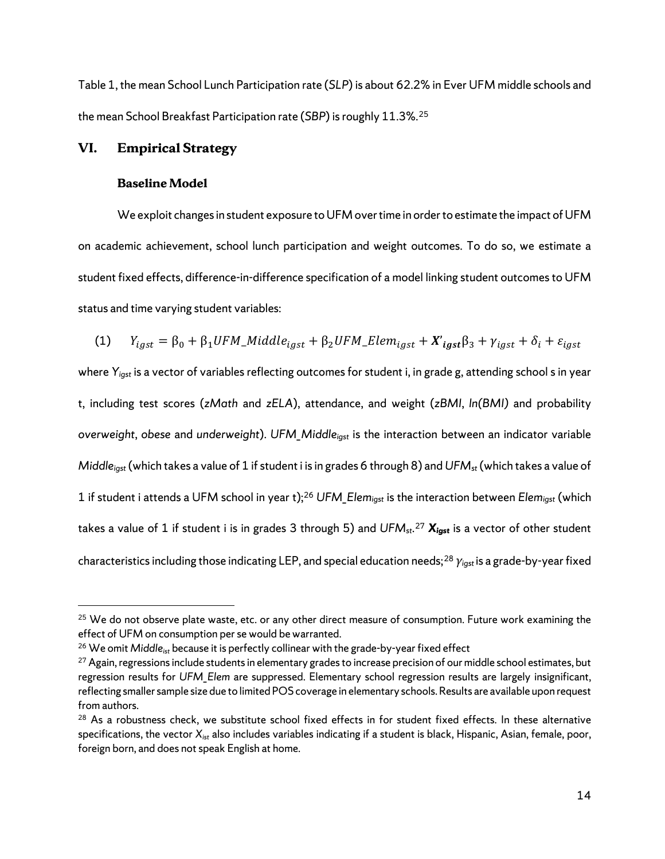Table 1, the mean School Lunch Participation rate (*SLP*) is about 62.2% in Ever UFM middle schools and the mean School Breakfast Participation rate (*SBP*) is roughly 11.3%.[25](#page-18-0)

#### **VI. Empirical Strategy**

#### **Baseline Model**

We exploit changes in student exposure to UFM over time in order to estimate the impact of UFM on academic achievement, school lunch participation and weight outcomes. To do so, we estimate a student fixed effects, difference-in-difference specification of a model linking student outcomes to UFM status and time varying student variables:

(1) 
$$
Y_{igst} = \beta_0 + \beta_1 UFM\_middle_{igst} + \beta_2 UFM\_Element_{igst} + X'_{igst}\beta_3 + \gamma_{igst} + \delta_i + \varepsilon_{igst}
$$

where *Yigst* is a vector of variables reflecting outcomes for student i, in grade g, attending school s in year t, including test scores (*zMath* and *zELA*), attendance, and weight (*zBMI*, *ln(BMI)* and probability *overweight*, *obese* and *underweight*). *UFM\_Middleigst* is the interaction between an indicator variable *Middleigst*(which takes a value of 1 if student i is in grades 6 through 8) and *UFMst*(which takes a value of 1 if student i attends a UFM school in year t); [26](#page-18-1) *UFM\_Elemigst* is the interaction between *Elemigst* (which takes a value of 1 if student i is in grades 3 through 5) and *UFMst*. [27](#page-18-2) *Xigst* is a vector of other student characteristics including those indicating LEP, and special education needs;[28](#page-18-3) *γigst*is a grade-by-year fixed

<span id="page-18-0"></span><sup>&</sup>lt;sup>25</sup> We do not observe plate waste, etc. or any other direct measure of consumption. Future work examining the effect of UFM on consumption per se would be warranted.

<span id="page-18-1"></span><sup>&</sup>lt;sup>26</sup> We omit Middle<sub>ist</sub> because it is perfectly collinear with the grade-by-year fixed effect

<span id="page-18-2"></span><sup>&</sup>lt;sup>27</sup> Again, regressions include students in elementary grades to increase precision of our middle school estimates, but regression results for *UFM\_Elem* are suppressed. Elementary school regression results are largely insignificant, reflecting smaller sample size due to limited POS coverage in elementary schools. Results are available upon request from authors.

<span id="page-18-3"></span><sup>&</sup>lt;sup>28</sup> As a robustness check, we substitute school fixed effects in for student fixed effects. In these alternative specifications, the vector *Xist* also includes variables indicating if a student is black, Hispanic, Asian, female, poor, foreign born, and does not speak English at home.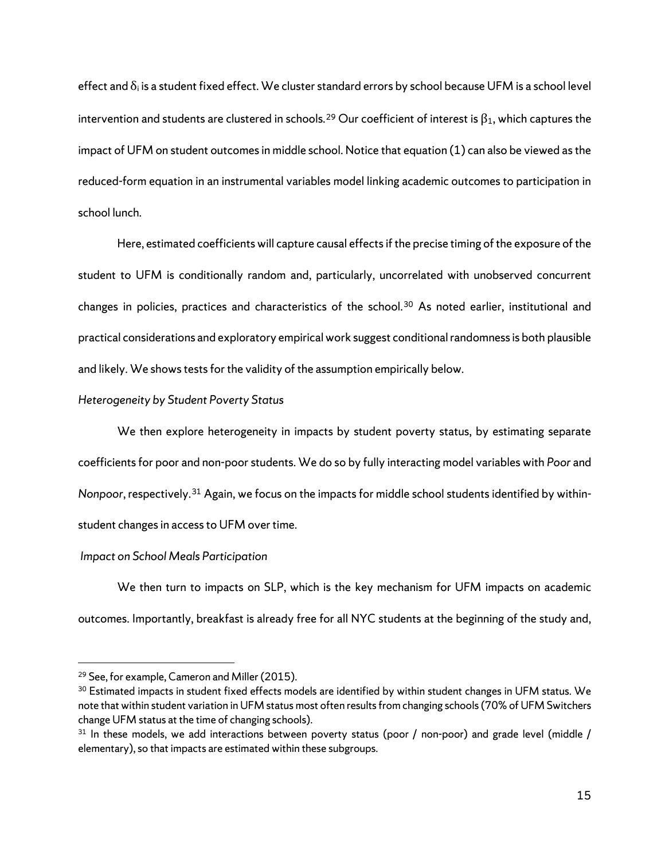effect and  $\delta_i$  is a student fixed effect. We cluster standard errors by school because UFM is a school level intervention and students are clustered in schools.<sup>[29](#page-19-0)</sup> Our coefficient of interest is  $\beta_1$ , which captures the impact of UFM on student outcomesin middle school. Notice that equation (1) can also be viewed as the reduced-form equation in an instrumental variables model linking academic outcomes to participation in school lunch.

Here, estimated coefficients will capture causal effects if the precise timing of the exposure of the student to UFM is conditionally random and, particularly, uncorrelated with unobserved concurrent changes in policies, practices and characteristics of the school.[30](#page-19-1) As noted earlier, institutional and practical considerations and exploratory empirical work suggest conditional randomness is both plausible and likely. We shows tests for the validity of the assumption empirically below.

#### *Heterogeneity by Student Poverty Status*

We then explore heterogeneity in impacts by student poverty status, by estimating separate coefficients for poor and non-poor students. We do so by fully interacting model variables with *Poor* and *Nonpoor*, respectively.[31](#page-19-2) Again, we focus on the impacts for middle school students identified by withinstudent changes in access to UFM over time.

#### *Impact on School Meals Participation*

We then turn to impacts on SLP, which is the key mechanism for UFM impacts on academic outcomes. Importantly, breakfast is already free for all NYC students at the beginning of the study and,

<span id="page-19-0"></span><sup>&</sup>lt;sup>29</sup> See, for example, Cameron and Miller (2015).

<span id="page-19-1"></span><sup>&</sup>lt;sup>30</sup> Estimated impacts in student fixed effects models are identified by within student changes in UFM status. We note that within student variation in UFM status most often results from changing schools (70% of UFM Switchers change UFM status at the time of changing schools).

<span id="page-19-2"></span> $31$  In these models, we add interactions between poverty status (poor / non-poor) and grade level (middle / elementary), so that impacts are estimated within these subgroups.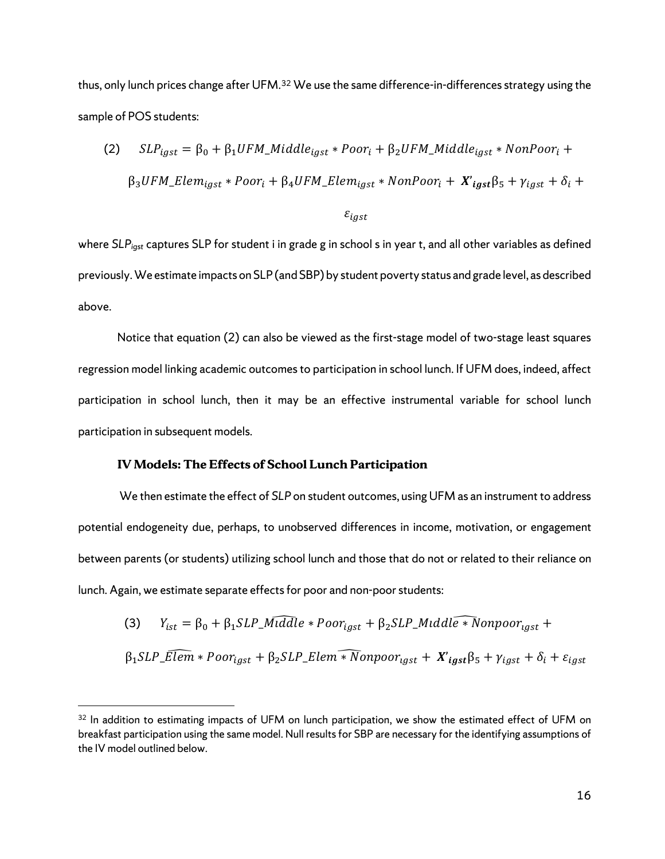thus, only lunch prices change after UFM.<sup>[32](#page-20-0)</sup> We use the same difference-in-differences strategy using the sample of POS students:

(2) 
$$
SLP_{igst} = \beta_0 + \beta_1 UFM\_Middle_{igst} * Poor_i + \beta_2 UFM\_Middle_{igst} * NonPoor_i +
$$

$$
\beta_3 UFM\_Element_{igst} * Poor_i + \beta_4 UFM\_Element_{igst} * NonPoor_i + X'_{igst}\beta_5 + Y_{igst} + \delta_i +
$$

 $\varepsilon_{igst}$ 

where *SLPigst* captures SLP for student i in grade g in school s in year t, and all other variables as defined previously. We estimate impacts on SLP (and SBP) by student poverty status and grade level, as described above.

Notice that equation (2) can also be viewed as the first-stage model of two-stage least squares regression model linking academic outcomes to participation in school lunch. If UFM does, indeed, affect participation in school lunch, then it may be an effective instrumental variable for school lunch participation in subsequent models.

#### **IV Models: The Effects of School Lunch Participation**

 $\overline{a}$ 

We then estimate the effect of *SLP* on student outcomes, using UFM as an instrument to address potential endogeneity due, perhaps, to unobserved differences in income, motivation, or engagement between parents (or students) utilizing school lunch and those that do not or related to their reliance on lunch. Again, we estimate separate effects for poor and non-poor students:

(3) 
$$
Y_{ist} = \beta_0 + \beta_1 SLP\_Middle * Poor_{igst} + \beta_2 SLP\_Middle * Nonpoor_{igst} + \beta_1 SLP\_Elem * Poor_{igst} + \beta_2 SLP\_Elem * Nonpoor_{igst} + X'_{igst}\beta_5 + \gamma_{igst} + \delta_i + \varepsilon_{igst}
$$

<span id="page-20-0"></span><sup>&</sup>lt;sup>32</sup> In addition to estimating impacts of UFM on lunch participation, we show the estimated effect of UFM on breakfast participation using the same model. Null results for SBP are necessary for the identifying assumptions of the IV model outlined below.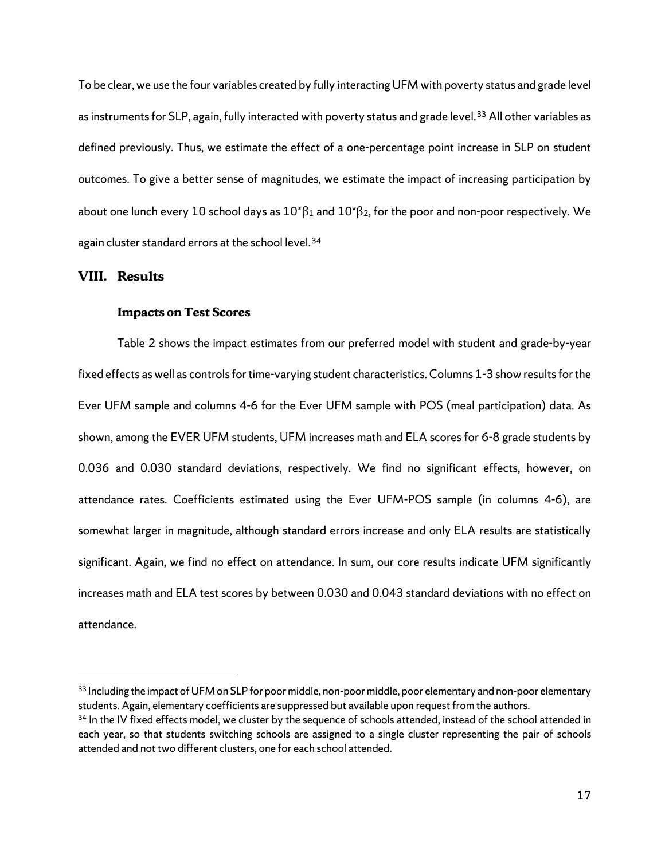To be clear, we use the four variables created by fully interacting UFM with poverty status and grade level as instruments for SLP, again, fully interacted with poverty status and grade level.<sup>33</sup> All other variables as defined previously. Thus, we estimate the effect of a one-percentage point increase in SLP on student outcomes. To give a better sense of magnitudes, we estimate the impact of increasing participation by about one lunch every 10 school days as  $10^{*}\beta_1$  and  $10^{*}\beta_2$ , for the poor and non-poor respectively. We again cluster standard errors at the school level.<sup>[34](#page-21-1)</sup>

#### **VIII. Results**

 $\overline{a}$ 

#### **Impacts on Test Scores**

Table 2 shows the impact estimates from our preferred model with student and grade-by-year fixed effects as well as controls for time-varying student characteristics.Columns 1-3 show results for the Ever UFM sample and columns 4-6 for the Ever UFM sample with POS (meal participation) data. As shown, among the EVER UFM students, UFM increases math and ELA scores for 6-8 grade students by 0.036 and 0.030 standard deviations, respectively. We find no significant effects, however, on attendance rates. Coefficients estimated using the Ever UFM-POS sample (in columns 4-6), are somewhat larger in magnitude, although standard errors increase and only ELA results are statistically significant. Again, we find no effect on attendance. In sum, our core results indicate UFM significantly increases math and ELA test scores by between 0.030 and 0.043 standard deviations with no effect on attendance.

<span id="page-21-0"></span><sup>&</sup>lt;sup>33</sup> Including the impact of UFM on SLP for poor middle, non-poor middle, poor elementary and non-poor elementary students. Again, elementary coefficients are suppressed but available upon request from the authors.

<span id="page-21-1"></span><sup>&</sup>lt;sup>34</sup> In the IV fixed effects model, we cluster by the sequence of schools attended, instead of the school attended in each year, so that students switching schools are assigned to a single cluster representing the pair of schools attended and not two different clusters, one for each school attended.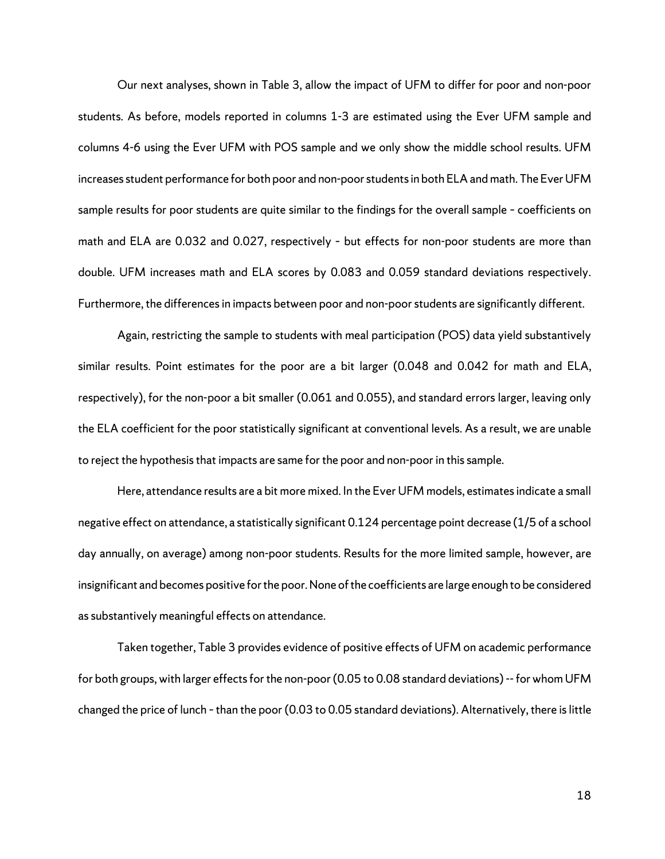Our next analyses, shown in Table 3, allow the impact of UFM to differ for poor and non-poor students. As before, models reported in columns 1-3 are estimated using the Ever UFM sample and columns 4-6 using the Ever UFM with POS sample and we only show the middle school results. UFM increases student performance for both poor and non-poor students in both ELA and math. The Ever UFM sample results for poor students are quite similar to the findings for the overall sample – coefficients on math and ELA are 0.032 and 0.027, respectively – but effects for non-poor students are more than double. UFM increases math and ELA scores by 0.083 and 0.059 standard deviations respectively. Furthermore, the differences in impacts between poor and non-poor students are significantly different.

Again, restricting the sample to students with meal participation (POS) data yield substantively similar results. Point estimates for the poor are a bit larger (0.048 and 0.042 for math and ELA, respectively), for the non-poor a bit smaller (0.061 and 0.055), and standard errors larger, leaving only the ELA coefficient for the poor statistically significant at conventional levels. As a result, we are unable to reject the hypothesis that impacts are same for the poor and non-poor in this sample.

Here, attendance results are a bit more mixed. In the Ever UFM models, estimates indicate a small negative effect on attendance, a statistically significant 0.124 percentage point decrease (1/5 of a school day annually, on average) among non-poor students. Results for the more limited sample, however, are insignificant and becomes positive for the poor.None of the coefficients are large enough to be considered as substantively meaningful effects on attendance.

Taken together, Table 3 provides evidence of positive effects of UFM on academic performance for both groups, with larger effects for the non-poor(0.05 to 0.08 standard deviations) -- for whom UFM changed the price of lunch –than the poor (0.03 to 0.05 standard deviations). Alternatively, there is little

18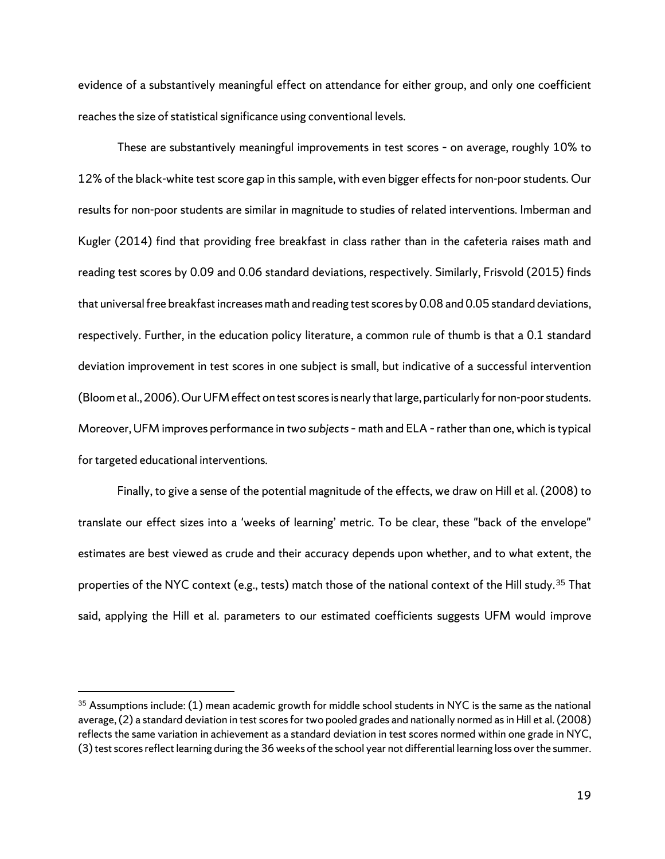evidence of a substantively meaningful effect on attendance for either group, and only one coefficient reaches the size of statistical significance using conventional levels.

These are substantively meaningful improvements in test scores – on average, roughly 10% to 12% of the black-white test score gap in this sample, with even bigger effects for non-poor students. Our results for non-poor students are similar in magnitude to studies of related interventions. Imberman and Kugler (2014) find that providing free breakfast in class rather than in the cafeteria raises math and reading test scores by 0.09 and 0.06 standard deviations, respectively. Similarly, Frisvold (2015) finds that universal free breakfast increases math and reading test scores by 0.08 and 0.05 standard deviations, respectively. Further, in the education policy literature, a common rule of thumb is that a 0.1 standard deviation improvement in test scores in one subject is small, but indicative of a successful intervention (Bloom et al., 2006). Our UFM effect on test scores is nearly that large, particularly for non-poor students. Moreover, UFM improves performance in *two subjects*– math and ELA –rather than one, which is typical for targeted educational interventions.

Finally, to give a sense of the potential magnitude of the effects, we draw on Hill et al. (2008) to translate our effect sizes into a 'weeks of learning' metric. To be clear, these "back of the envelope" estimates are best viewed as crude and their accuracy depends upon whether, and to what extent, the properties of the NYC context (e.g., tests) match those of the national context of the Hill study.<sup>[35](#page-23-0)</sup> That said, applying the Hill et al. parameters to our estimated coefficients suggests UFM would improve

<span id="page-23-0"></span> $35$  Assumptions include: (1) mean academic growth for middle school students in NYC is the same as the national average, (2) a standard deviation in test scores for two pooled grades and nationally normed as in Hill et al. (2008) reflects the same variation in achievement as a standard deviation in test scores normed within one grade in NYC, (3) test scores reflect learning during the 36 weeks of the school year not differential learning loss over the summer.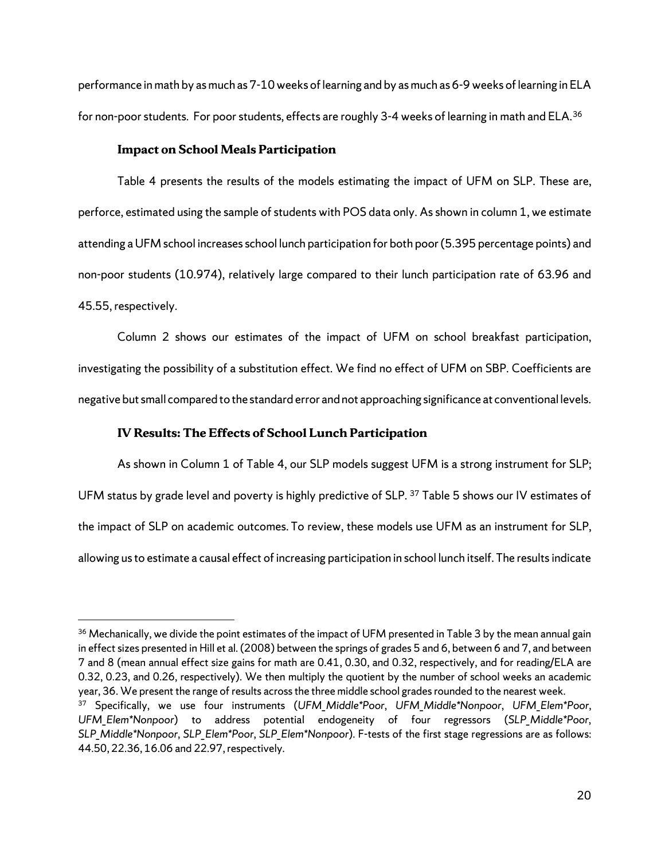performance in math by as much as 7-10 weeks of learning and by as much as 6-9 weeks of learning in ELA for non-poor students. For poor students, effects are roughly 3-4 weeks of learning in math and ELA.<sup>[36](#page-24-0)</sup>

#### **Impact on School Meals Participation**

Table 4 presents the results of the models estimating the impact of UFM on SLP. These are, perforce, estimated using the sample of students with POS data only. As shown in column 1, we estimate attending a UFM school increases school lunch participation for both poor (5.395 percentage points) and non-poor students (10.974), relatively large compared to their lunch participation rate of 63.96 and 45.55, respectively.

Column 2 shows our estimates of the impact of UFM on school breakfast participation, investigating the possibility of a substitution effect. We find no effect of UFM on SBP. Coefficients are negative but small compared to the standard error and not approaching significance at conventional levels.

#### **IV Results: The Effects of School Lunch Participation**

As shown in Column 1 of Table 4, our SLP models suggest UFM is a strong instrument for SLP; UFM status by grade level and poverty is highly predictive of SLP. [37](#page-24-1) Table 5 shows our IV estimates of the impact of SLP on academic outcomes. To review, these models use UFM as an instrument for SLP, allowing us to estimate a causal effect of increasing participation in school lunch itself. The results indicate

<span id="page-24-0"></span><sup>&</sup>lt;sup>36</sup> Mechanically, we divide the point estimates of the impact of UFM presented in Table 3 by the mean annual gain in effect sizes presented in Hill et al. (2008) between the springs of grades 5 and 6, between 6 and 7, and between 7 and 8 (mean annual effect size gains for math are 0.41, 0.30, and 0.32, respectively, and for reading/ELA are 0.32, 0.23, and 0.26, respectively). We then multiply the quotient by the number of school weeks an academic year, 36. We present the range of results across the three middle school grades rounded to the nearest week.

<span id="page-24-1"></span><sup>37</sup> Specifically, we use four instruments (*UFM\_Middle\*Poor*, *UFM\_Middle\*Nonpoor*, *UFM\_Elem\*Poor*, *UFM\_Elem\*Nonpoor*) to address potential endogeneity of four regressors (*SLP\_Middle\*Poor*, *SLP\_Middle\*Nonpoor*, *SLP\_Elem\*Poor*, *SLP\_Elem\*Nonpoor*). F-tests of the first stage regressions are as follows: 44.50, 22.36, 16.06 and 22.97, respectively.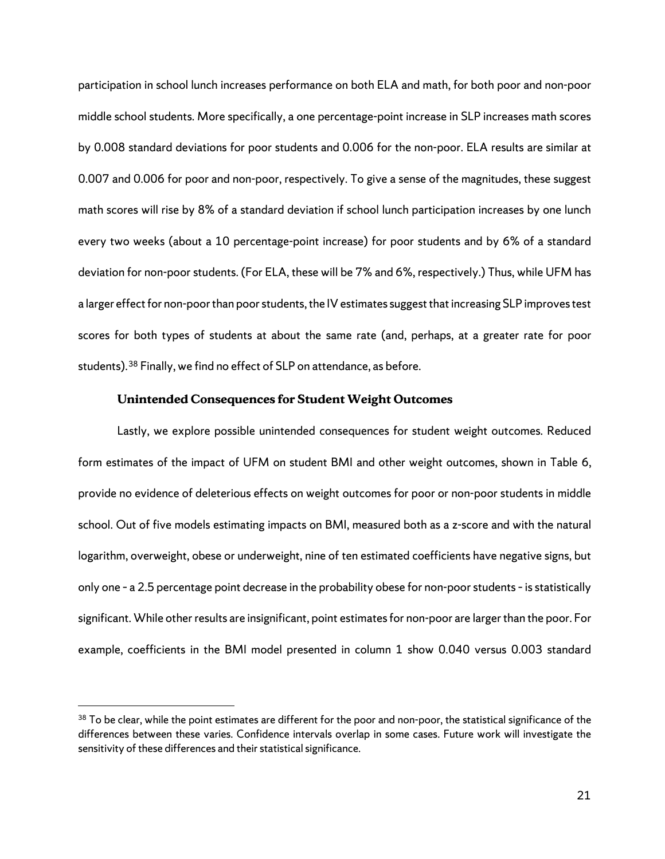participation in school lunch increases performance on both ELA and math, for both poor and non-poor middle school students. More specifically, a one percentage-point increase in SLP increases math scores by 0.008 standard deviations for poor students and 0.006 for the non-poor. ELA results are similar at 0.007 and 0.006 for poor and non-poor, respectively. To give a sense of the magnitudes, these suggest math scores will rise by 8% of a standard deviation if school lunch participation increases by one lunch every two weeks (about a 10 percentage-point increase) for poor students and by 6% of a standard deviation for non-poor students. (For ELA, these will be 7% and 6%, respectively.) Thus, while UFM has a larger effect for non-poor than poor students, the IV estimates suggest that increasing SLP improves test scores for both types of students at about the same rate (and, perhaps, at a greater rate for poor students).[38](#page-25-0) Finally, we find no effect of SLP on attendance, as before.

#### **Unintended Consequences for Student Weight Outcomes**

Lastly, we explore possible unintended consequences for student weight outcomes. Reduced form estimates of the impact of UFM on student BMI and other weight outcomes, shown in Table 6, provide no evidence of deleterious effects on weight outcomes for poor or non-poor students in middle school. Out of five models estimating impacts on BMI, measured both as a z-score and with the natural logarithm, overweight, obese or underweight, nine of ten estimated coefficients have negative signs, but only one – a 2.5 percentage point decrease in the probability obese for non-poor students –is statistically significant. While other results are insignificant, point estimates for non-poor are larger than the poor. For example, coefficients in the BMI model presented in column 1 show 0.040 versus 0.003 standard

<span id="page-25-0"></span> $38$  To be clear, while the point estimates are different for the poor and non-poor, the statistical significance of the differences between these varies. Confidence intervals overlap in some cases. Future work will investigate the sensitivity of these differences and their statistical significance.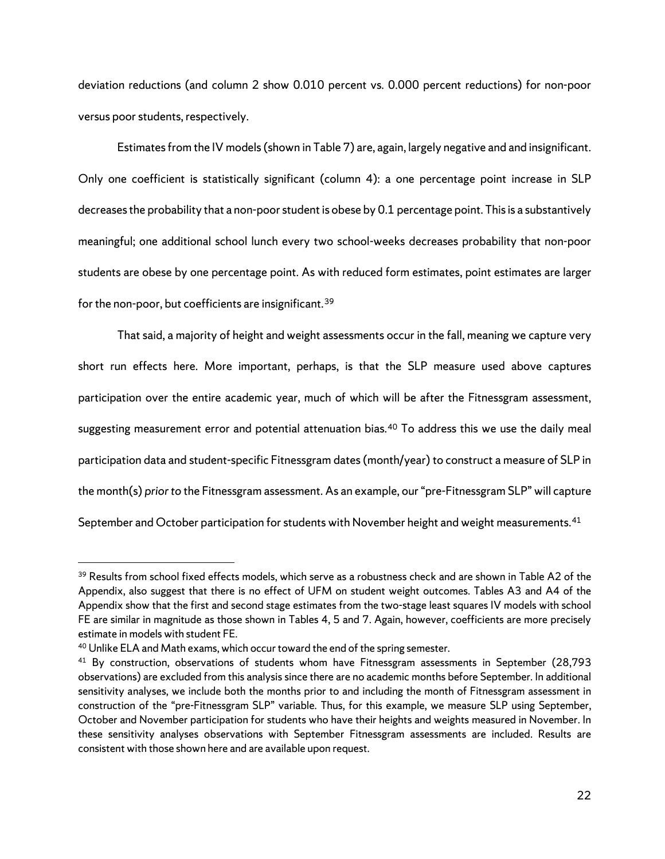deviation reductions (and column 2 show 0.010 percent vs. 0.000 percent reductions) for non-poor versus poor students, respectively.

Estimates from the IV models(shown in Table 7) are, again, largely negative and and insignificant. Only one coefficient is statistically significant (column 4): a one percentage point increase in SLP decreases the probability that a non-poor student is obese by 0.1 percentage point. This is a substantively meaningful; one additional school lunch every two school-weeks decreases probability that non-poor students are obese by one percentage point. As with reduced form estimates, point estimates are larger for the non-poor, but coefficients are insignificant.<sup>[39](#page-26-0)</sup>

That said, a majority of height and weight assessments occur in the fall, meaning we capture very short run effects here. More important, perhaps, is that the SLP measure used above captures participation over the entire academic year, much of which will be after the Fitnessgram assessment, suggesting measurement error and potential attenuation bias.<sup>[40](#page-26-1)</sup> To address this we use the daily meal participation data and student-specific Fitnessgram dates (month/year) to construct a measure of SLP in the month(s) *prior to* the Fitnessgram assessment. As an example, our "pre-Fitnessgram SLP" will capture September and October participation for students with November height and weight measurements.  $^{41}$  $^{41}$  $^{41}$ 

<span id="page-26-0"></span><sup>&</sup>lt;sup>39</sup> Results from school fixed effects models, which serve as a robustness check and are shown in Table A2 of the Appendix, also suggest that there is no effect of UFM on student weight outcomes. Tables A3 and A4 of the Appendix show that the first and second stage estimates from the two-stage least squares IV models with school FE are similar in magnitude as those shown in Tables 4, 5 and 7. Again, however, coefficients are more precisely estimate in models with student FE.

<span id="page-26-1"></span><sup>&</sup>lt;sup>40</sup> Unlike ELA and Math exams, which occur toward the end of the spring semester.

<span id="page-26-2"></span><sup>&</sup>lt;sup>41</sup> By construction, observations of students whom have Fitnessgram assessments in September (28,793 observations) are excluded from this analysis since there are no academic months before September. In additional sensitivity analyses, we include both the months prior to and including the month of Fitnessgram assessment in construction of the "pre-Fitnessgram SLP" variable. Thus, for this example, we measure SLP using September, October and November participation for students who have their heights and weights measured in November. In these sensitivity analyses observations with September Fitnessgram assessments are included. Results are consistent with those shown here and are available upon request.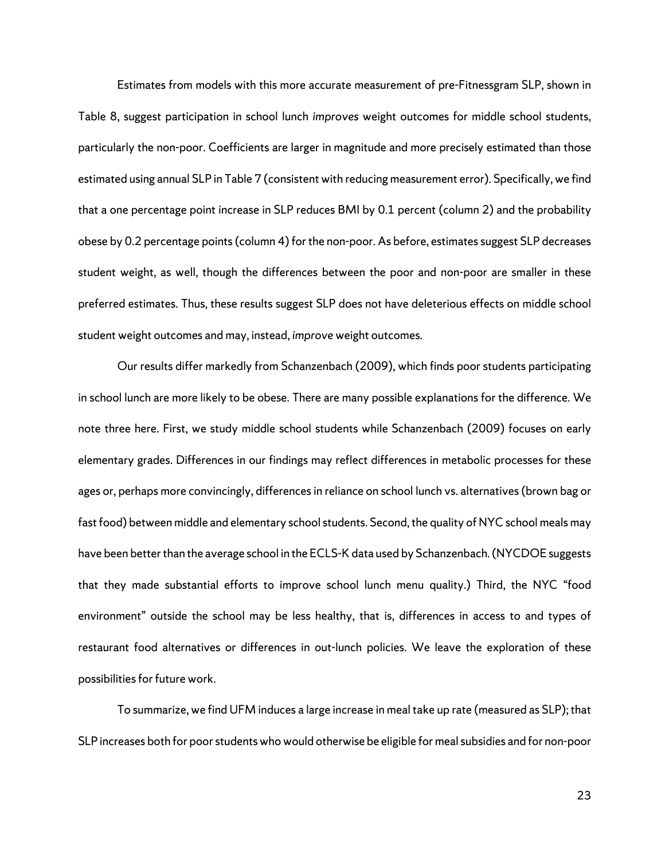Estimates from models with this more accurate measurement of pre-Fitnessgram SLP, shown in Table 8, suggest participation in school lunch *improves* weight outcomes for middle school students, particularly the non-poor. Coefficients are larger in magnitude and more precisely estimated than those estimated using annual SLP in Table 7 (consistent with reducing measurement error). Specifically, we find that a one percentage point increase in SLP reduces BMI by 0.1 percent (column 2) and the probability obese by 0.2 percentage points(column 4) for the non-poor. As before, estimates suggest SLP decreases student weight, as well, though the differences between the poor and non-poor are smaller in these preferred estimates. Thus, these results suggest SLP does not have deleterious effects on middle school student weight outcomes and may, instead, *improve* weight outcomes.

Our results differ markedly from Schanzenbach (2009), which finds poor students participating in school lunch are more likely to be obese. There are many possible explanations for the difference. We note three here. First, we study middle school students while Schanzenbach (2009) focuses on early elementary grades. Differences in our findings may reflect differences in metabolic processes for these ages or, perhaps more convincingly, differences in reliance on school lunch vs. alternatives (brown bag or fast food) between middle and elementary school students. Second, the quality of NYC school meals may have been better than the average school in the ECLS-K data used by Schanzenbach. (NYCDOE suggests that they made substantial efforts to improve school lunch menu quality.) Third, the NYC "food environment" outside the school may be less healthy, that is, differences in access to and types of restaurant food alternatives or differences in out-lunch policies. We leave the exploration of these possibilities for future work.

To summarize, we find UFM induces a large increase in meal take up rate (measured as SLP); that SLP increases both for poor students who would otherwise be eligible for meal subsidies and for non-poor

23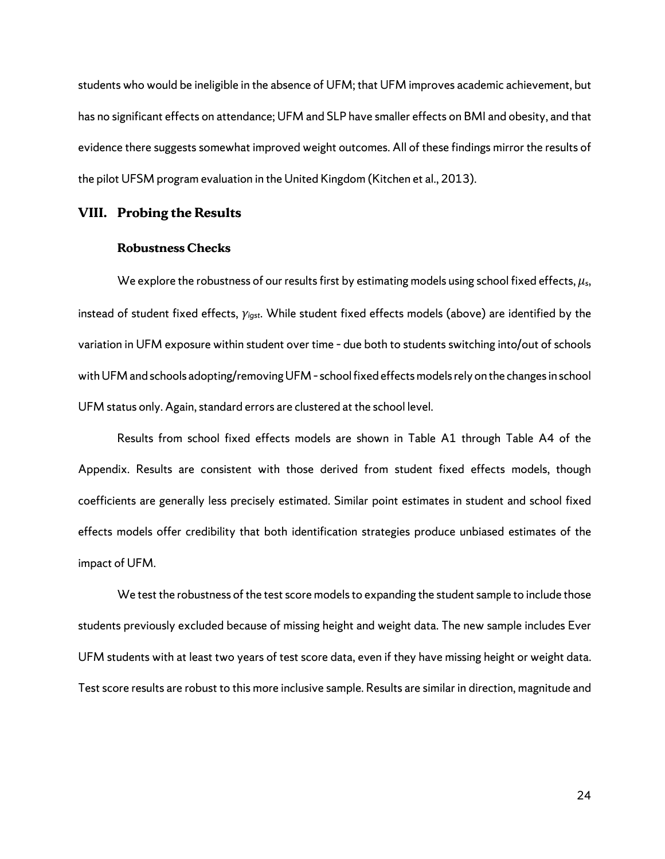students who would be ineligible in the absence of UFM; that UFM improves academic achievement, but has no significant effects on attendance; UFM and SLP have smaller effects on BMI and obesity, and that evidence there suggests somewhat improved weight outcomes. All of these findings mirror the results of the pilot UFSM program evaluation in the United Kingdom (Kitchen et al., 2013).

#### **VIII. Probing the Results**

#### **Robustness Checks**

We explore the robustness of our results first by estimating models using school fixed effects, *µs*, instead of student fixed effects, *γigst*. While student fixed effects models (above) are identified by the variation in UFM exposure within student over time – due both to students switching into/out of schools with UFM and schools adopting/removing UFM - school fixed effects models rely on the changes in school UFM status only. Again, standard errors are clustered at the school level.

Results from school fixed effects models are shown in Table A1 through Table A4 of the Appendix. Results are consistent with those derived from student fixed effects models, though coefficients are generally less precisely estimated. Similar point estimates in student and school fixed effects models offer credibility that both identification strategies produce unbiased estimates of the impact of UFM.

We test the robustness of the test score models to expanding the student sample to include those students previously excluded because of missing height and weight data. The new sample includes Ever UFM students with at least two years of test score data, even if they have missing height or weight data. Test score results are robust to this more inclusive sample. Results are similar in direction, magnitude and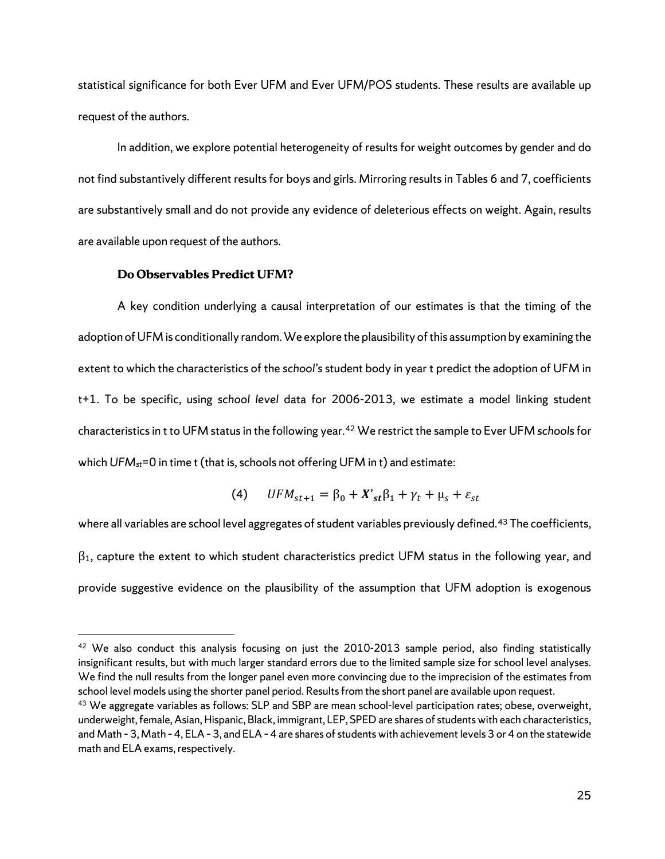statistical significance for both Ever UFM and Ever UFM/POS students. These results are available up request of the authors.

In addition, we explore potential heterogeneity of results for weight outcomes by gender and do not find substantively different resultsfor boys and girls. Mirroring results in Tables 6 and 7, coefficients are substantively small and do not provide any evidence of deleterious effects on weight. Again, results are available upon request of the authors.

#### **Do Observables Predict UFM?**

A key condition underlying a causal interpretation of our estimates is that the timing of the adoption of UFM is conditionally random. We explore the plausibility of this assumption by examining the extent to which the characteristics of the *school's* student body in year t predict the adoption of UFM in t+1. To be specific, using *school level* data for 2006-2013, we estimate a model linking student characteristics in t to UFM status in the following year.[42](#page-29-0) We restrict the sample to Ever UFM *schools*for which *UFM<sub>st</sub>*=0 in time t (that is, schools not offering UFM in t) and estimate:

$$
(4) \qquad UFM_{st+1} = \beta_0 + X'_{st}\beta_1 + \gamma_t + \mu_s + \varepsilon_{st}
$$

where all variables are school level aggregates of student variables previously defined.<sup>[43](#page-29-1)</sup> The coefficients,  $\beta_1$ , capture the extent to which student characteristics predict UFM status in the following year, and provide suggestive evidence on the plausibility of the assumption that UFM adoption is exogenous

<span id="page-29-0"></span><sup>&</sup>lt;sup>42</sup> We also conduct this analysis focusing on just the 2010-2013 sample period, also finding statistically insignificant results, but with much larger standard errors due to the limited sample size for school level analyses. We find the null results from the longer panel even more convincing due to the imprecision of the estimates from school level models using the shorter panel period. Results from the short panel are available upon request.

<span id="page-29-1"></span><sup>&</sup>lt;sup>43</sup> We aggregate variables as follows: SLP and SBP are mean school-level participation rates; obese, overweight, underweight, female, Asian, Hispanic, Black, immigrant, LEP, SPED are shares of students with each characteristics, and Math – 3, Math – 4, ELA – 3, and ELA – 4 are shares of students with achievement levels 3 or 4 on the statewide math and ELA exams, respectively.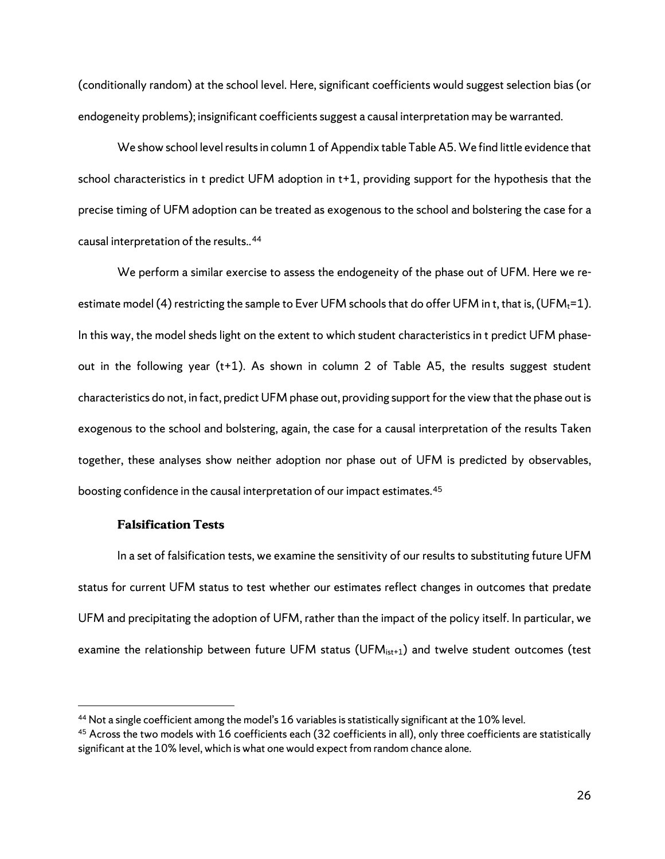(conditionally random) at the school level. Here, significant coefficients would suggest selection bias (or endogeneity problems); insignificant coefficients suggest a causal interpretation may be warranted.

We show school level results in column 1 of Appendix table Table A5.We find little evidence that school characteristics in t predict UFM adoption in t+1, providing support for the hypothesis that the precise timing of UFM adoption can be treated as exogenous to the school and bolstering the case for a causal interpretation of the results.. [44](#page-30-0)

We perform a similar exercise to assess the endogeneity of the phase out of UFM. Here we reestimate model (4) restricting the sample to Ever UFM schools that do offer UFM in t, that is, (UFM $_t$ =1). In this way, the model sheds light on the extent to which student characteristics in t predict UFM phaseout in the following year (t+1). As shown in column 2 of Table A5, the results suggest student characteristics do not, in fact, predict UFM phase out, providing support for the view that the phase out is exogenous to the school and bolstering, again, the case for a causal interpretation of the results Taken together, these analyses show neither adoption nor phase out of UFM is predicted by observables, boosting confidence in the causal interpretation of our impact estimates.<sup>[45](#page-30-1)</sup>

#### **Falsification Tests**

In a set of falsification tests, we examine the sensitivity of our results to substituting future UFM status for current UFM status to test whether our estimates reflect changes in outcomes that predate UFM and precipitating the adoption of UFM, rather than the impact of the policy itself. In particular, we examine the relationship between future UFM status (UFM<sub>ist+1</sub>) and twelve student outcomes (test

<span id="page-30-0"></span><sup>&</sup>lt;sup>44</sup> Not a single coefficient among the model's 16 variables is statistically significant at the 10% level.

<span id="page-30-1"></span> $45$  Across the two models with 16 coefficients each (32 coefficients in all), only three coefficients are statistically significant at the 10% level, which is what one would expect from random chance alone.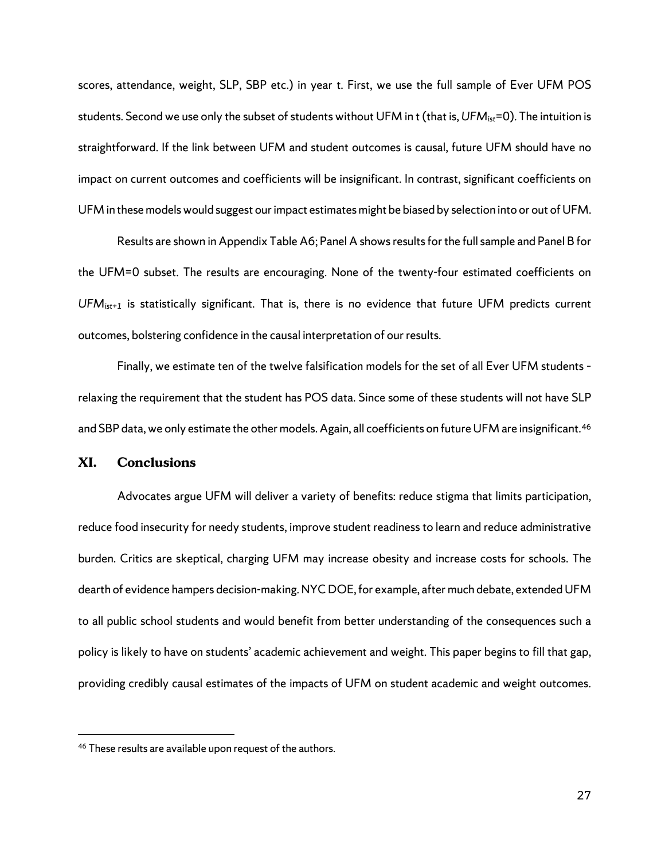scores, attendance, weight, SLP, SBP etc.) in year t. First, we use the full sample of Ever UFM POS students. Second we use only the subset of students without UFM in t (that is, *UFMist*=0). The intuition is straightforward. If the link between UFM and student outcomes is causal, future UFM should have no impact on current outcomes and coefficients will be insignificant. In contrast, significant coefficients on UFM in these models would suggest our impact estimates might be biased by selection into or out of UFM.

Results are shown in Appendix Table A6; Panel A shows results for the full sample and Panel B for the UFM=0 subset. The results are encouraging. None of the twenty-four estimated coefficients on *UFMist+1* is statistically significant. That is, there is no evidence that future UFM predicts current outcomes, bolstering confidence in the causal interpretation of our results.

Finally, we estimate ten of the twelve falsification models for the set of all Ever UFM students – relaxing the requirement that the student has POS data. Since some of these students will not have SLP and SBP data, we only estimate the other models. Again, all coefficients on future UFM are insignificant.<sup>[46](#page-31-0)</sup>

#### **XI. Conclusions**

Advocates argue UFM will deliver a variety of benefits: reduce stigma that limits participation, reduce food insecurity for needy students, improve student readiness to learn and reduce administrative burden. Critics are skeptical, charging UFM may increase obesity and increase costs for schools. The dearth of evidence hampers decision-making. NYC DOE, for example, after much debate, extendedUFM to all public school students and would benefit from better understanding of the consequences such a policy is likely to have on students' academic achievement and weight. This paper begins to fill that gap, providing credibly causal estimates of the impacts of UFM on student academic and weight outcomes.

<span id="page-31-0"></span> <sup>46</sup> These results are available upon request of the authors.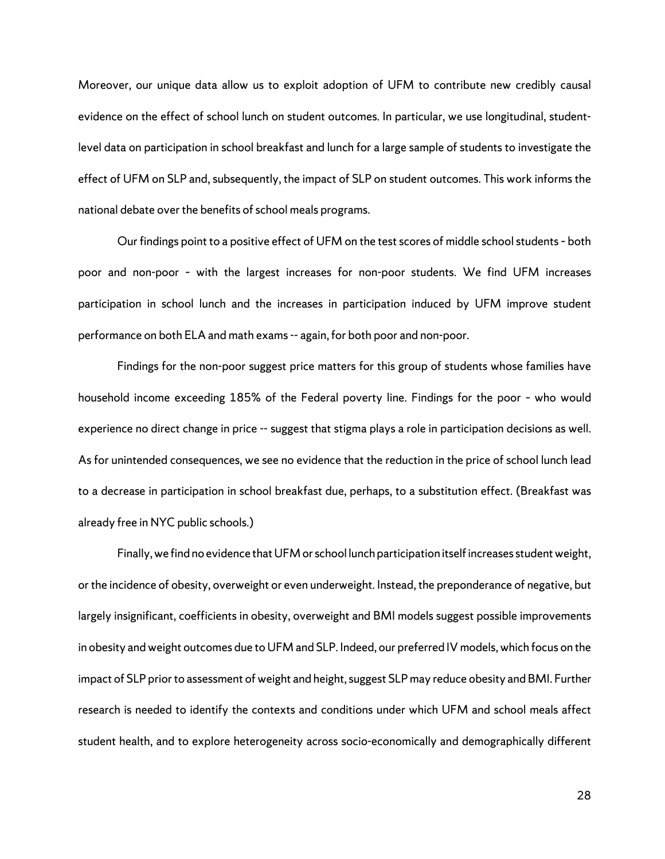Moreover, our unique data allow us to exploit adoption of UFM to contribute new credibly causal evidence on the effect of school lunch on student outcomes. In particular, we use longitudinal, studentlevel data on participation in school breakfast and lunch for a large sample of students to investigate the effect of UFM on SLP and, subsequently, the impact of SLP on student outcomes. This work informs the national debate over the benefits of school meals programs.

Our findings point to a positive effect of UFM on the test scores of middle school students– both poor and non-poor – with the largest increases for non-poor students. We find UFM increases participation in school lunch and the increases in participation induced by UFM improve student performance on both ELA and math exams-- again, for both poor and non-poor.

Findings for the non-poor suggest price matters for this group of students whose families have household income exceeding 185% of the Federal poverty line. Findings for the poor – who would experience no direct change in price -- suggest that stigma plays a role in participation decisions as well. As for unintended consequences, we see no evidence that the reduction in the price of school lunch lead to a decrease in participation in school breakfast due, perhaps, to a substitution effect. (Breakfast was already free in NYC public schools.)

Finally, we find no evidence that UFM or school lunch participation itselfincreases student weight, or the incidence of obesity, overweight or even underweight. Instead, the preponderance of negative, but largely insignificant, coefficients in obesity, overweight and BMI models suggest possible improvements in obesity and weight outcomes due to UFM and SLP. Indeed, our preferred IV models, which focus on the impact of SLP prior to assessment of weight and height, suggest SLP may reduce obesity and BMI. Further research is needed to identify the contexts and conditions under which UFM and school meals affect student health, and to explore heterogeneity across socio-economically and demographically different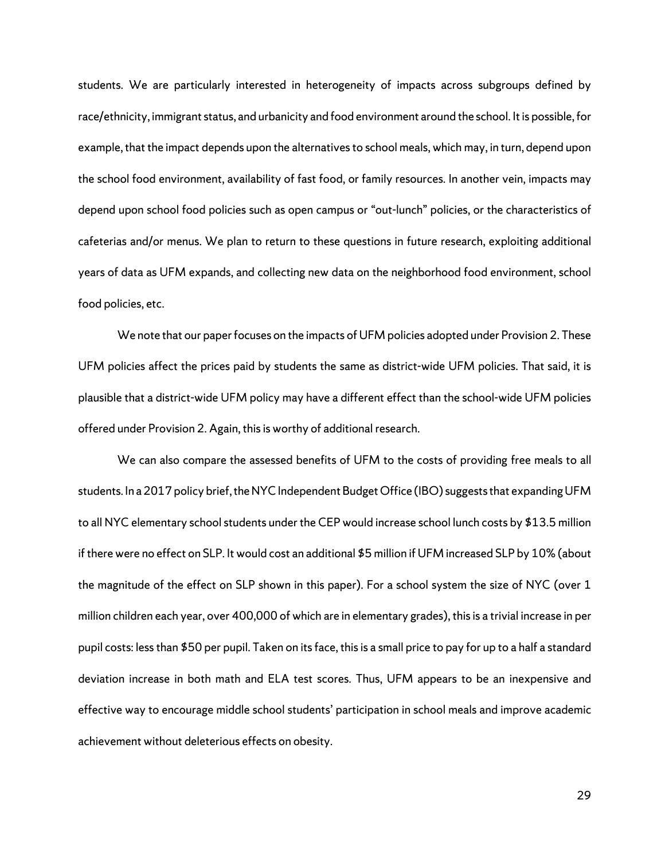students. We are particularly interested in heterogeneity of impacts across subgroups defined by race/ethnicity, immigrant status, and urbanicity and food environment around the school. It is possible, for example, that the impact depends upon the alternatives to school meals, which may, in turn, depend upon the school food environment, availability of fast food, or family resources. In another vein, impacts may depend upon school food policies such as open campus or "out-lunch" policies, or the characteristics of cafeterias and/or menus. We plan to return to these questions in future research, exploiting additional years of data as UFM expands, and collecting new data on the neighborhood food environment, school food policies, etc.

We note that our paper focuses on the impacts of UFM policies adopted under Provision 2. These UFM policies affect the prices paid by students the same as district-wide UFM policies. That said, it is plausible that a district-wide UFM policy may have a different effect than the school-wide UFM policies offered under Provision 2. Again, this is worthy of additional research.

We can also compare the assessed benefits of UFM to the costs of providing free meals to all students. In a 2017 policy brief, the NYC Independent Budget Office (IBO) suggests that expanding UFM to all NYC elementary school students under the CEP would increase school lunch costs by \$13.5 million if there were no effect on SLP. It would cost an additional \$5 million if UFM increased SLP by 10% (about the magnitude of the effect on SLP shown in this paper). For a school system the size of NYC (over 1 million children each year, over 400,000 of which are in elementary grades), this is a trivial increase in per pupil costs: less than \$50 per pupil. Taken on its face, this is a small price to pay for up to a half a standard deviation increase in both math and ELA test scores. Thus, UFM appears to be an inexpensive and effective way to encourage middle school students' participation in school meals and improve academic achievement without deleterious effects on obesity.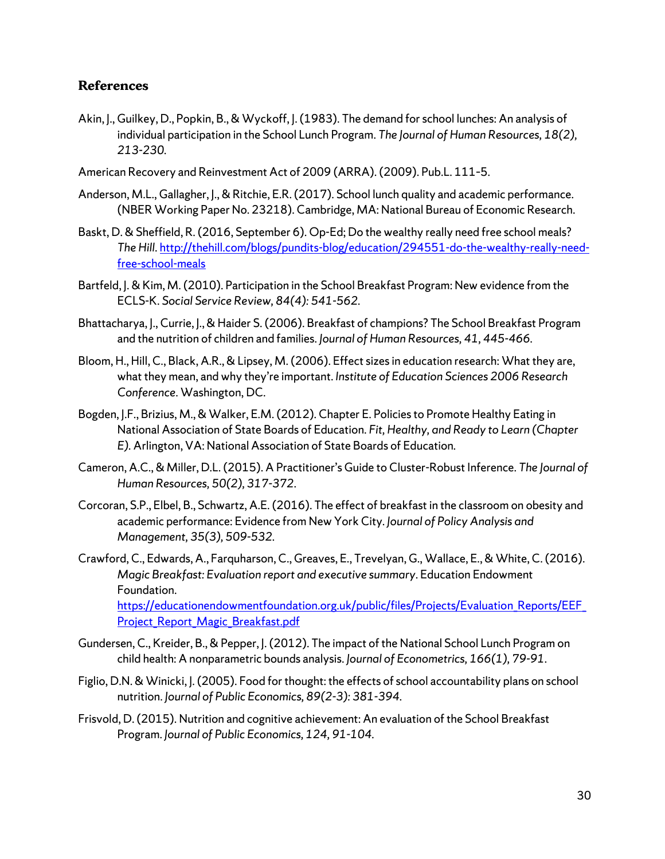## **References**

- Akin, J., Guilkey, D., Popkin, B., & Wyckoff, J. (1983). The demand for school lunches: An analysis of individual participation in the School Lunch Program. *The Journal of Human Resources, 18(2), 213-230.*
- American Recovery and Reinvestment Act of 2009 (ARRA). (2009). Pub.L. 111–5.
- Anderson, M.L., Gallagher, J., & Ritchie, E.R. (2017). School lunch quality and academic performance. (NBER Working Paper No. 23218). Cambridge, MA: National Bureau of Economic Research.
- Baskt, D. & Sheffield, R. (2016, September 6). Op-Ed; Do the wealthy really need free school meals? *The Hill*[. http://thehill.com/blogs/pundits-blog/education/294551-do-the-wealthy-really-need](http://thehill.com/blogs/pundits-blog/education/294551-do-the-wealthy-really-need-free-school-meals)[free-school-meals](http://thehill.com/blogs/pundits-blog/education/294551-do-the-wealthy-really-need-free-school-meals)
- Bartfeld, J. & Kim, M. (2010). Participation in the School Breakfast Program: New evidence from the ECLS-K. *Social Service Review, 84(4): 541-562.*
- Bhattacharya, J., Currie, J., & Haider S. (2006). Breakfast of champions? The School Breakfast Program and the nutrition of children and families. *Journal of Human Resources, 41, 445-466.*
- Bloom, H., Hill, C., Black, A.R., & Lipsey, M. (2006). Effect sizes in education research: What they are, what they mean, and why they're important. *Institute of Education Sciences 2006 Research Conference*. Washington, DC.
- Bogden, J.F., Brizius, M., & Walker, E.M. (2012). Chapter E. Policies to Promote Healthy Eating in National Association of State Boards of Education. *Fit, Healthy, and Ready to Learn (Chapter E).* Arlington, VA: National Association of State Boards of Education*.*
- Cameron, A.C., & Miller, D.L. (2015). A Practitioner's Guide to Cluster-Robust Inference. *The Journal of Human Resources, 50(2), 317-372*.
- Corcoran, S.P., Elbel, B., Schwartz, A.E. (2016). The effect of breakfast in the classroom on obesity and academic performance: Evidence from New York City. *Journal of Policy Analysis and Management, 35(3), 509-532.*
- Crawford, C., Edwards, A., Farquharson, C., Greaves, E., Trevelyan, G., Wallace, E., & White, C. (2016). *Magic Breakfast: Evaluation report and executive summary*. Education Endowment Foundation. [https://educationendowmentfoundation.org.uk/public/files/Projects/Evaluation\\_Reports/EEF\\_](https://educationendowmentfoundation.org.uk/public/files/Projects/Evaluation_Reports/EEF_Project_Report_Magic_Breakfast.pdf)

Project Report Magic Breakfast.pdf

- Gundersen, C., Kreider, B., & Pepper, J. (2012). The impact of the National School Lunch Program on child health: A nonparametric bounds analysis. *Journal of Econometrics, 166(1), 79-91.*
- Figlio, D.N. & Winicki, J. (2005). Food for thought: the effects of school accountability plans on school nutrition. *Journal of Public Economics, 89(2-3): 381-394.*
- Frisvold, D. (2015). Nutrition and cognitive achievement: An evaluation of the School Breakfast Program. *Journal of Public Economics, 124, 91-104.*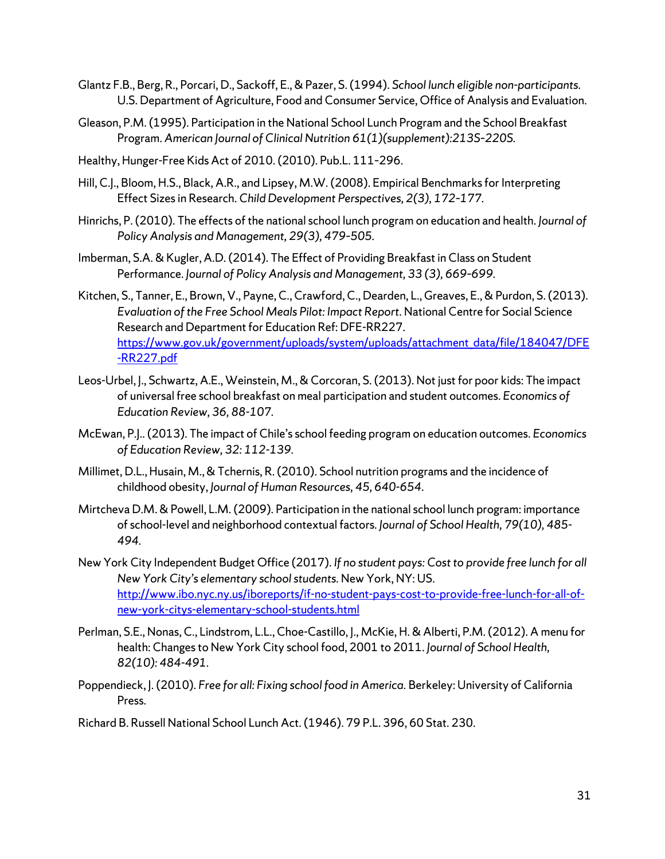- Glantz F.B., Berg, R., Porcari, D., Sackoff, E., & Pazer, S.(1994). *School lunch eligible non-participants.*  U.S. Department of Agriculture, Food and Consumer Service, Office of Analysis and Evaluation.
- Gleason, P.M. (1995). Participation in the National School Lunch Program and the School Breakfast Program. *American Journal of Clinical Nutrition 61(1)(supplement):213S–220S.*
- Healthy, Hunger-Free Kids Act of 2010. (2010). Pub.L. 111–296.
- Hill, C.J., Bloom, H.S., Black, A.R., and Lipsey, M.W. (2008). Empirical Benchmarks for Interpreting Effect Sizes in Research. *Child Development Perspectives, 2(3), 172–177.*
- Hinrichs, P. (2010). The effects of the national school lunch program on education and health. *Journal of Policy Analysis and Management, 29(3), 479–505.*
- Imberman, S.A. & Kugler, A.D. (2014). The Effect of Providing Breakfast in Class on Student Performance. *Journal of Policy Analysis and Management, 33 (3), 669–699.*
- Kitchen, S., Tanner, E., Brown, V., Payne, C., Crawford, C., Dearden, L., Greaves, E., & Purdon, S. (2013). *Evaluation of the Free School Meals Pilot: Impact Report*. National Centre for Social Science Research and Department for Education Ref: DFE-RR227. https://www.gov.uk/government/uploads/system/uploads/attachment\_data/file/184047/DFE -RR227.pdf
- Leos-Urbel, J., Schwartz, A.E., Weinstein, M., & Corcoran, S. (2013). Not just for poor kids: The impact of universal free school breakfast on meal participation and student outcomes. *Economics of Education Review, 36, 88-107.*
- McEwan, P.J.. (2013). The impact of Chile's school feeding program on education outcomes. *Economics of Education Review, 32: 112-139.*
- Millimet, D.L., Husain, M., & Tchernis, R. (2010). School nutrition programs and the incidence of childhood obesity, *Journal of Human Resources, 45, 640-654*.
- Mirtcheva D.M. & Powell, L.M. (2009). Participation in the national school lunch program: importance of school-level and neighborhood contextual factors. *Journal of School Health, 79(10), 485- 494.*
- New York City Independent Budget Office (2017). *If no student pays: Cost to provide free lunch for all New York City's elementary school students.* New York, NY: US. [http://www.ibo.nyc.ny.us/iboreports/if-no-student-pays-cost-to-provide-free-lunch-for-all-of](http://www.ibo.nyc.ny.us/iboreports/if-no-student-pays-cost-to-provide-free-lunch-for-all-of-new-york-citys-elementary-school-students.html)[new-york-citys-elementary-school-students.html](http://www.ibo.nyc.ny.us/iboreports/if-no-student-pays-cost-to-provide-free-lunch-for-all-of-new-york-citys-elementary-school-students.html)
- Perlman, S.E., Nonas, C., Lindstrom, L.L., Choe-Castillo, J., McKie, H. & Alberti, P.M. (2012). A menu for health: Changes to New York City school food, 2001 to 2011. *Journal of School Health, 82(10): 484-491.*
- Poppendieck, J. (2010). *Free for all: Fixing school food in America.* Berkeley: University of California Press.
- Richard B. Russell National School Lunch Act. (1946). 79 P.L. 396, 60 Stat. 230.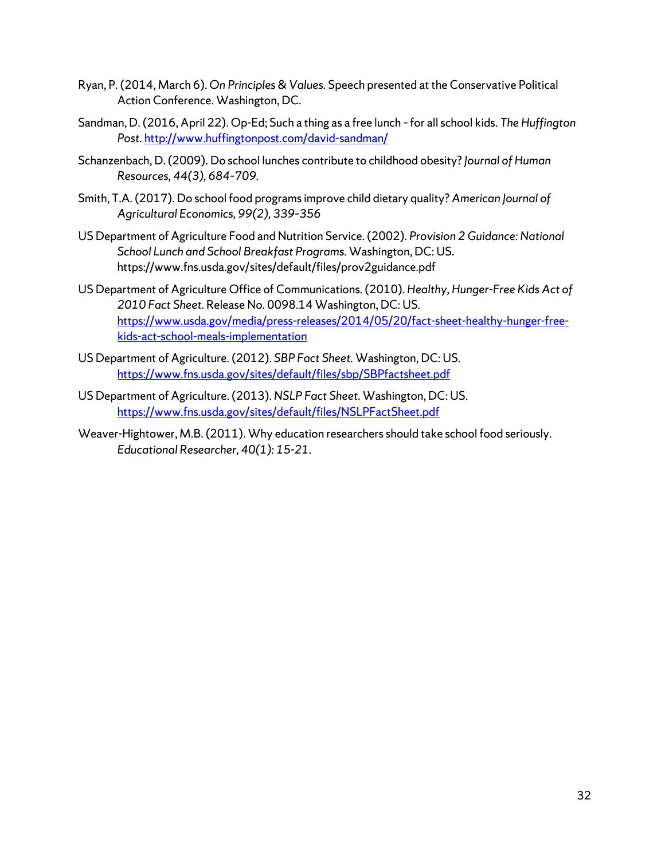- Ryan, P. (2014, March 6). *On Principles & Values.* Speech presented at the Conservative Political Action Conference. Washington, DC.
- Sandman, D. (2016, April 22). Op-Ed; Such a thing as a free lunch –for all school kids. *The Huffington*  Post. <http://www.huffingtonpost.com/david-sandman/>
- Schanzenbach, D. (2009). Do school lunches contribute to childhood obesity? *Journal of Human Resources, 44(3), 684–709.*
- Smith, T.A. (2017). Do school food programs improve child dietary quality? *American Journal of Agricultural Economics, 99(2), 339–356*
- US Department of Agriculture Food and Nutrition Service. (2002). *Provision 2 Guidance: National School Lunch and School Breakfast Programs*. Washington, DC: US. https://www.fns.usda.gov/sites/default/files/prov2guidance.pdf
- US Department of Agriculture Office of Communications. (2010). *Healthy, Hunger-Free Kids Act of 2010 Fact Sheet.* Release No. 0098.14 Washington, DC: US. [https://www.usda.gov/media/press-releases/2014/05/20/fact-sheet-healthy-hunger-free](https://www.usda.gov/media/press-releases/2014/05/20/fact-sheet-healthy-hunger-free-kids-act-school-meals-implementation)[kids-act-school-meals-implementation](https://www.usda.gov/media/press-releases/2014/05/20/fact-sheet-healthy-hunger-free-kids-act-school-meals-implementation)
- US Department of Agriculture. (2012). *SBP Fact Sheet.* Washington, DC: US. <https://www.fns.usda.gov/sites/default/files/sbp/SBPfactsheet.pdf>
- US Department of Agriculture. (2013). *NSLP Fact Sheet.* Washington, DC: US. <https://www.fns.usda.gov/sites/default/files/NSLPFactSheet.pdf>
- Weaver-Hightower, M.B. (2011). Why education researchers should take school food seriously. *Educational Researcher, 40(1): 15-21*.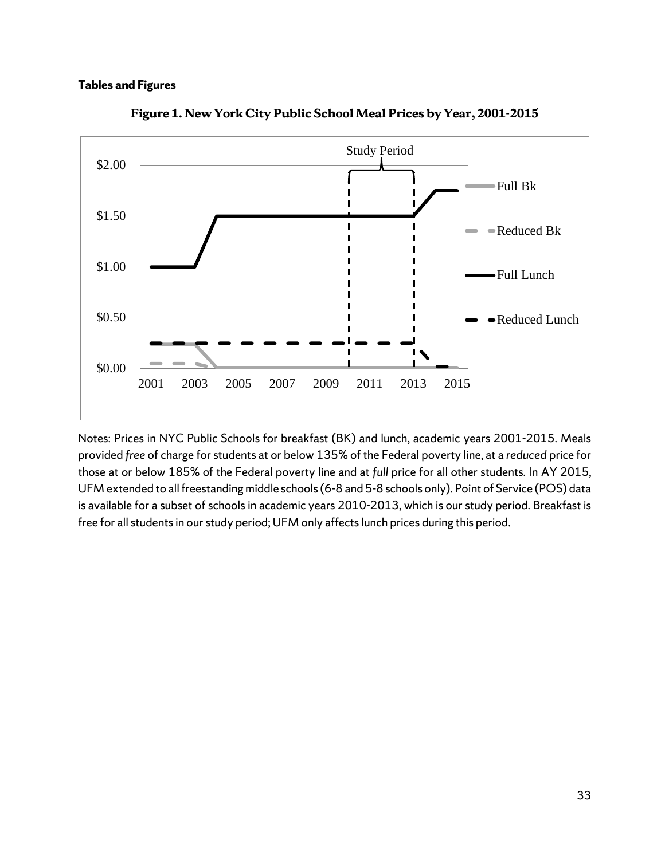#### **Tables and Figures**



**Figure 1. New York City Public School Meal Prices by Year, 2001-2015**

Notes: Prices in NYC Public Schools for breakfast (BK) and lunch, academic years 2001-2015. Meals provided *free* of charge for students at or below 135% of the Federal poverty line, at a *reduced* price for those at or below 185% of the Federal poverty line and at *full* price for all other students. In AY 2015, UFM extended to all freestanding middle schools (6-8 and 5-8 schools only). Point of Service (POS) data is available for a subset of schools in academic years 2010-2013, which is our study period. Breakfast is free for all students in our study period; UFM only affects lunch prices during this period.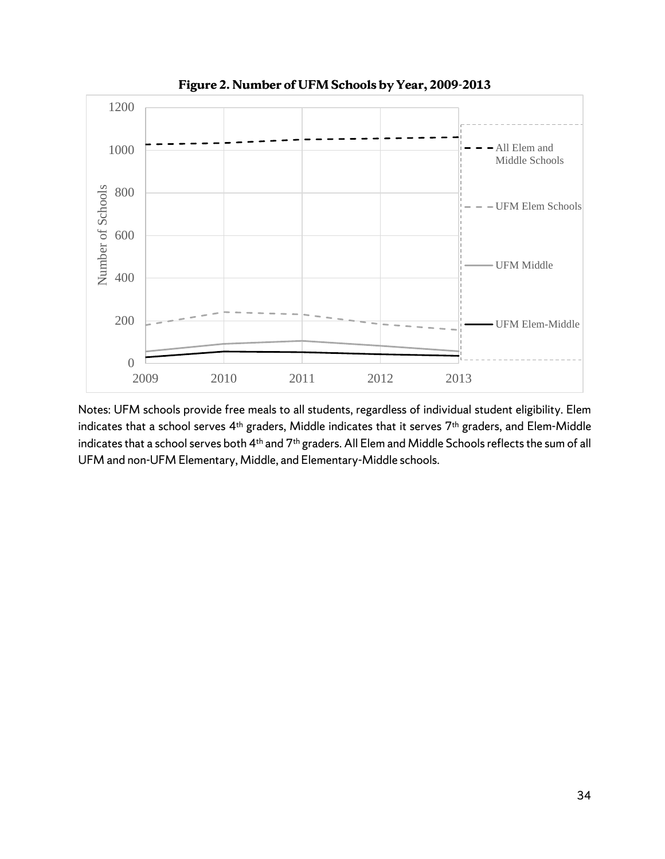

**Figure 2. Number of UFM Schools by Year, 2009-2013**

Notes: UFM schools provide free meals to all students, regardless of individual student eligibility. Elem indicates that a school serves 4<sup>th</sup> graders, Middle indicates that it serves 7<sup>th</sup> graders, and Elem-Middle indicates that a school serves both 4<sup>th</sup> and 7<sup>th</sup> graders. All Elem and Middle Schools reflects the sum of all UFM and non-UFM Elementary, Middle, and Elementary-Middle schools.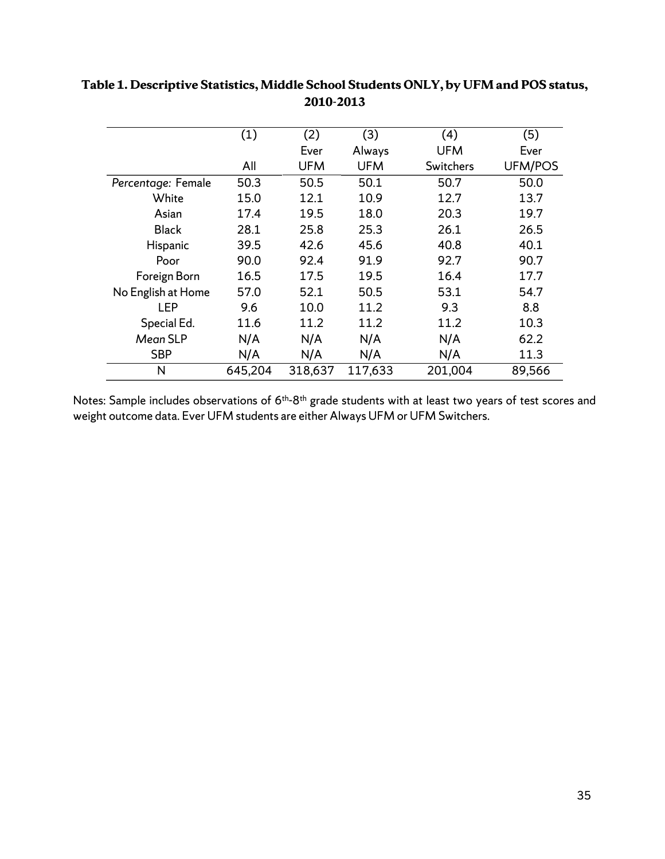|                    | (1)     | (2)        | (3)        | (4)        | (5)            |
|--------------------|---------|------------|------------|------------|----------------|
|                    |         | Ever       | Always     | <b>UFM</b> | Ever           |
|                    | All     | <b>UFM</b> | <b>UFM</b> | Switchers  | <b>UFM/POS</b> |
| Percentage: Female | 50.3    | 50.5       | 50.1       | 50.7       | 50.0           |
| White              | 15.0    | 12.1       | 10.9       | 12.7       | 13.7           |
| Asian              | 17.4    | 19.5       | 18.0       | 20.3       | 19.7           |
| <b>Black</b>       | 28.1    | 25.8       | 25.3       | 26.1       | 26.5           |
| Hispanic           | 39.5    | 42.6       | 45.6       | 40.8       | 40.1           |
| Poor               | 90.0    | 92.4       | 91.9       | 92.7       | 90.7           |
| Foreign Born       | 16.5    | 17.5       | 19.5       | 16.4       | 17.7           |
| No English at Home | 57.0    | 52.1       | 50.5       | 53.1       | 54.7           |
| LEP                | 9.6     | 10.0       | 11.2       | 9.3        | 8.8            |
| Special Ed.        | 11.6    | 11.2       | 11.2       | 11.2       | 10.3           |
| Mean SLP           | N/A     | N/A        | N/A        | N/A        | 62.2           |
| <b>SBP</b>         | N/A     | N/A        | N/A        | N/A        | 11.3           |
| N                  | 645,204 | 318,637    | 117,633    | 201,004    | 89,566         |

# **Table 1. Descriptive Statistics, Middle School Students ONLY, by UFM and POS status, 2010-2013**

Notes: Sample includes observations of 6<sup>th</sup>-8<sup>th</sup> grade students with at least two years of test scores and weight outcome data. Ever UFM students are either Always UFM or UFM Switchers.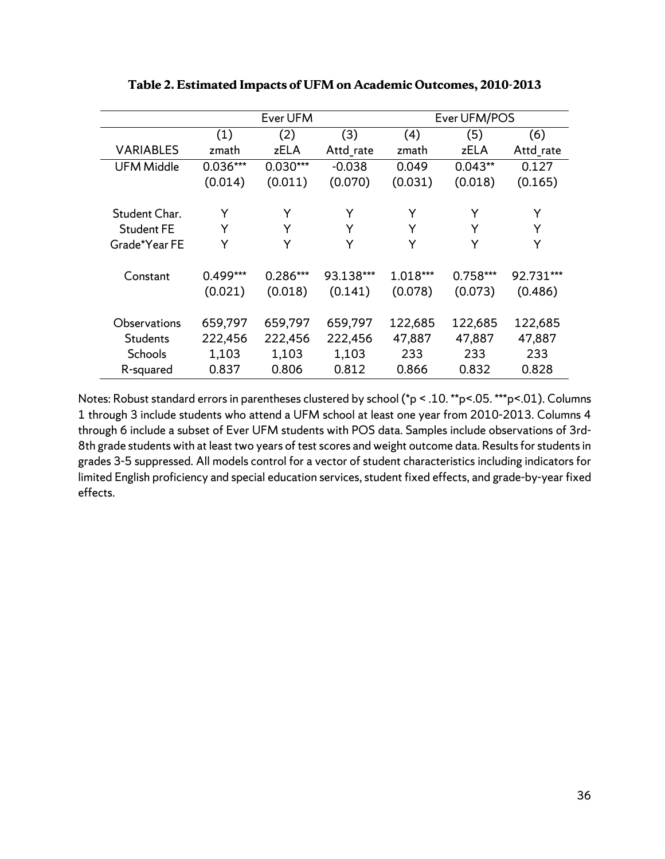|                   |          | Ever UFM   |           | Ever UFM/POS |            |           |
|-------------------|----------|------------|-----------|--------------|------------|-----------|
|                   | (1)      | (2)        | (3)       | (4)          | (5)        | (6)       |
| <b>VARIABLES</b>  | zmath    | zELA       | Attd_rate | zmath        | zELA       | Attd_rate |
| <b>UFM Middle</b> | 0.036*** | $0.030***$ | $-0.038$  | 0.049        | $0.043**$  | 0.127     |
|                   | (0.014)  | (0.011)    | (0.070)   | (0.031)      | (0.018)    | (0.165)   |
| Student Char.     | Y        | Y          | Y         | Y            | Y          | Y         |
| <b>Student FE</b> | Y        | Υ          | Υ         | Y            | Y          | Y         |
| Grade*Year FE     | Y        | Υ          | Υ         | Y            | Y          | Y         |
|                   |          |            |           |              |            |           |
| Constant          | 0.499*** | 0.286***   | 93.138*** | 1.018***     | $0.758***$ | 92.731*** |
|                   | (0.021)  | (0.018)    | (0.141)   | (0.078)      | (0.073)    | (0.486)   |
|                   |          |            |           |              |            |           |
| Observations      | 659,797  | 659,797    | 659,797   | 122,685      | 122,685    | 122,685   |
| <b>Students</b>   | 222,456  | 222,456    | 222,456   | 47,887       | 47,887     | 47,887    |
| Schools           | 1,103    | 1,103      | 1,103     | 233          | 233        | 233       |
| R-squared         | 0.837    | 0.806      | 0.812     | 0.866        | 0.832      | 0.828     |

**Table 2. Estimated Impacts of UFM on Academic Outcomes, 2010-2013**

Notes: Robust standard errors in parentheses clustered by school (\*p < .10. \*\*p<.05. \*\*\*p<.01). Columns 1 through 3 include students who attend a UFM school at least one year from 2010-2013. Columns 4 through 6 include a subset of Ever UFM students with POS data. Samples include observations of 3rd-8th grade students with at least two years of test scores and weight outcome data. Results for students in grades 3-5 suppressed. All models control for a vector of student characteristics including indicators for limited English proficiency and special education services, student fixed effects, and grade-by-year fixed effects.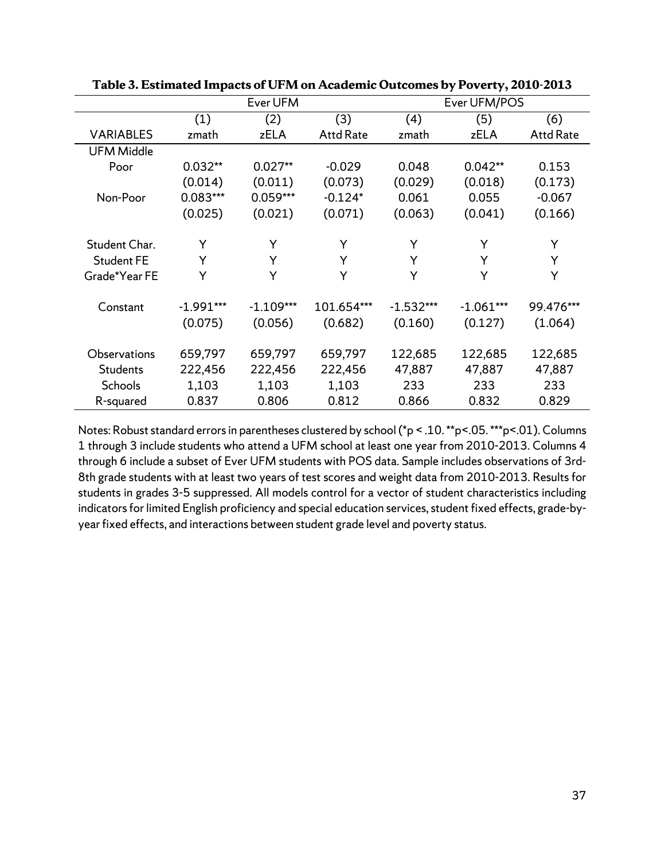|                   |             | Ever UFM    |                  |             | Ever UFM/POS |                  |  |
|-------------------|-------------|-------------|------------------|-------------|--------------|------------------|--|
|                   | (1)         | (2)         | (3)              | (4)         | (5)          | (6)              |  |
| <b>VARIABLES</b>  | zmath       | zELA        | <b>Attd Rate</b> | zmath       | zELA         | <b>Attd Rate</b> |  |
| <b>UFM Middle</b> |             |             |                  |             |              |                  |  |
| Poor              | $0.032**$   | $0.027**$   | $-0.029$         | 0.048       | $0.042**$    | 0.153            |  |
|                   | (0.014)     | (0.011)     | (0.073)          | (0.029)     | (0.018)      | (0.173)          |  |
| Non-Poor          | 0.083***    | 0.059***    | $-0.124*$        | 0.061       | 0.055        | $-0.067$         |  |
|                   | (0.025)     | (0.021)     | (0.071)          | (0.063)     | (0.041)      | (0.166)          |  |
|                   |             |             |                  |             |              |                  |  |
| Student Char.     | Y           | Y           | Y                | Y           | Y            | Y                |  |
| <b>Student FE</b> | Y           | Y           | Y                | Y           | Y            | Y                |  |
| Grade*Year FE     | Y           | Y           | Y                | Y           | Y            | Y                |  |
|                   |             |             |                  |             |              |                  |  |
| Constant          | $-1.991***$ | $-1.109***$ | 101.654***       | $-1.532***$ | $-1.061***$  | 99.476***        |  |
|                   | (0.075)     | (0.056)     | (0.682)          | (0.160)     | (0.127)      | (1.064)          |  |
|                   |             |             |                  |             |              |                  |  |
| Observations      | 659,797     | 659,797     | 659,797          | 122,685     | 122,685      | 122,685          |  |
| Students          | 222,456     | 222,456     | 222,456          | 47,887      | 47,887       | 47,887           |  |
| <b>Schools</b>    | 1,103       | 1,103       | 1,103            | 233         | 233          | 233              |  |
| R-squared         | 0.837       | 0.806       | 0.812            | 0.866       | 0.832        | 0.829            |  |

**Table 3. Estimated Impacts of UFM on Academic Outcomes by Poverty, 2010-2013**

Notes: Robust standard errors in parentheses clustered by school (\*p < .10. \*\*p<.05. \*\*\*p<.01). Columns 1 through 3 include students who attend a UFM school at least one year from 2010-2013. Columns 4 through 6 include a subset of Ever UFM students with POS data. Sample includes observations of 3rd-8th grade students with at least two years of test scores and weight data from 2010-2013. Results for students in grades 3-5 suppressed. All models control for a vector of student characteristics including indicators for limited English proficiency and special education services, student fixed effects, grade-byyear fixed effects, and interactions between student grade level and poverty status.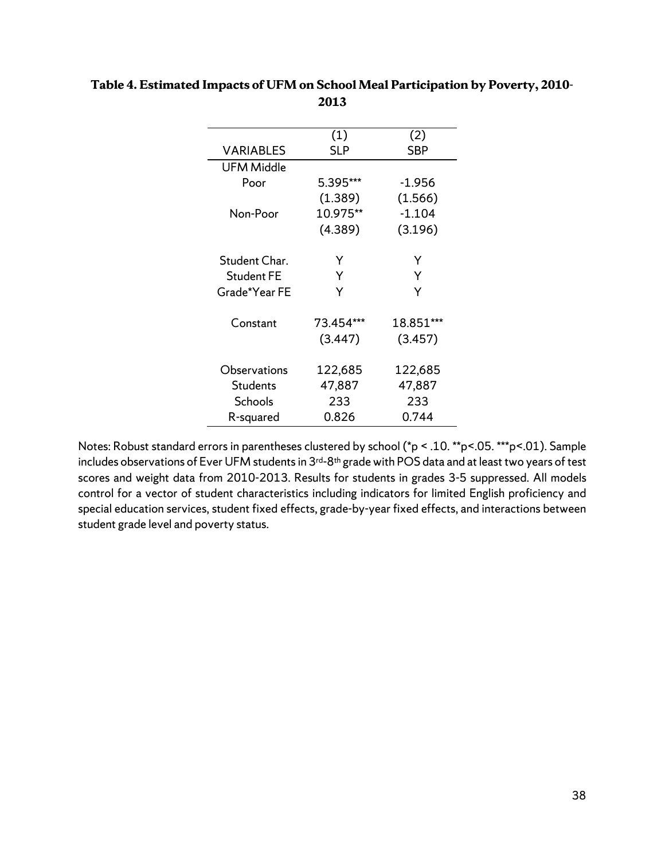|                   | (1)        | (2)        |
|-------------------|------------|------------|
| <b>VARIABLES</b>  | <b>SLP</b> | <b>SBP</b> |
| <b>UFM Middle</b> |            |            |
| Poor              | 5.395***   | -1.956     |
|                   | (1.389)    | (1.566)    |
| Non-Poor          | 10.975**   | $-1.104$   |
|                   | (4.389)    | (3.196)    |
| Student Char.     | Υ          | Y          |
| <b>Student FE</b> | Υ          | Y          |
| Grade*Year FE     | Y          | Ý          |
| Constant          | 73.454***  | 18.851***  |
|                   | (3.447)    | (3.457)    |
| Observations      | 122,685    | 122,685    |
| <b>Students</b>   | 47,887     | 47,887     |
| <b>Schools</b>    | 233        | 233        |
| R-squared         | 0.826      | 0.744      |

# **Table 4. Estimated Impacts of UFM on School Meal Participation by Poverty, 2010- 2013**

Notes: Robust standard errors in parentheses clustered by school (\*p < .10. \*\*p<.05. \*\*\*p<.01). Sample includes observations of Ever UFM students in 3<sup>rd-8th</sup> grade with POS data and at least two years of test scores and weight data from 2010-2013. Results for students in grades 3-5 suppressed. All models control for a vector of student characteristics including indicators for limited English proficiency and special education services, student fixed effects, grade-by-year fixed effects, and interactions between student grade level and poverty status.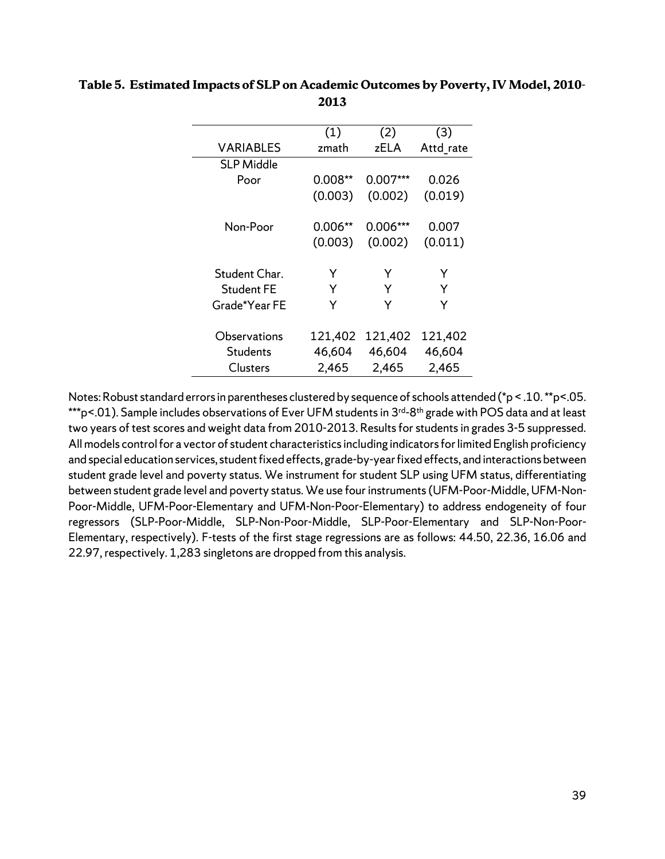|                   | (1)     | (2)        | (3)       |
|-------------------|---------|------------|-----------|
| <b>VARIABLES</b>  | zmath   | zELA       | Attd_rate |
| <b>SLP Middle</b> |         |            |           |
| Poor              | 0.008** | 0.007***   | 0.026     |
|                   | (0.003) | (0.002)    | (0.019)   |
| Non-Poor          | 0.006** | $0.006***$ | 0.007     |
|                   | (0.003) | (0.002)    | (0.011)   |
| Student Char.     | Y       | Y          | Y         |
| <b>Student FE</b> | Y       | Y          | Y         |
|                   | Y       | Y          |           |
| Grade*Year FE     |         |            | Y         |
| Observations      | 121,402 | 121,402    | 121,402   |
| <b>Students</b>   | 46,604  | 46,604     | 46,604    |
| Clusters          | 2,465   | 2,465      | 2,465     |

### **Table 5. Estimated Impacts of SLP on Academic Outcomes by Poverty, IV Model, 2010- 2013**

Notes: Robust standard errors in parentheses clustered by sequence of schools attended (\*p < .10. \*\*p<.05. \*\*\*p<.01). Sample includes observations of Ever UFM students in 3<sup>rd</sup>-8<sup>th</sup> grade with POS data and at least two years of test scores and weight data from 2010-2013. Results for students in grades 3-5 suppressed. All models control for a vector of student characteristics including indicators for limited English proficiency and special education services, student fixed effects, grade-by-year fixed effects, and interactions between student grade level and poverty status. We instrument for student SLP using UFM status, differentiating between student grade level and poverty status. We use four instruments (UFM-Poor-Middle, UFM-Non-Poor-Middle, UFM-Poor-Elementary and UFM-Non-Poor-Elementary) to address endogeneity of four regressors (SLP-Poor-Middle, SLP-Non-Poor-Middle, SLP-Poor-Elementary and SLP-Non-Poor-Elementary, respectively). F-tests of the first stage regressions are as follows: 44.50, 22.36, 16.06 and 22.97, respectively. 1,283 singletons are dropped from this analysis.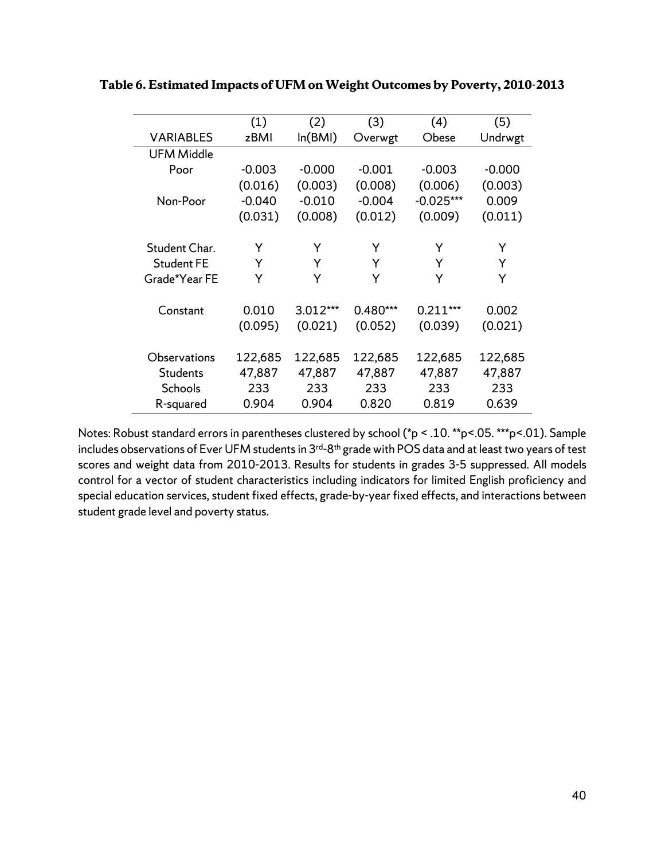|                   | (1)      | (2)      | (3)      | (4)         | (5)      |
|-------------------|----------|----------|----------|-------------|----------|
| <b>VARIABLES</b>  | zBMI     | ln(BMI)  | Overwgt  | Obese       | Undrwgt  |
| <b>UFM Middle</b> |          |          |          |             |          |
| Poor              | $-0.003$ | $-0.000$ | $-0.001$ | $-0.003$    | $-0.000$ |
|                   | (0.016)  | (0.003)  | (0.008)  | (0.006)     | (0.003)  |
| Non-Poor          | $-0.040$ | $-0.010$ | $-0.004$ | $-0.025***$ | 0.009    |
|                   | (0.031)  | (0.008)  | (0.012)  | (0.009)     | (0.011)  |
|                   |          |          |          |             |          |
| Student Char.     | Y        | Y        | Y        | Y           | Y        |
| <b>Student FE</b> | Y        | Y        | Y        | Y           | Y        |
| Grade*Year FE     | Y        | Y        | Y        | Y           | Y        |
| Constant          | 0.010    | 3.012*** | 0.480*** | $0.211***$  | 0.002    |
|                   | (0.095)  | (0.021)  | (0.052)  | (0.039)     | (0.021)  |
| Observations      | 122,685  | 122,685  | 122,685  | 122,685     | 122,685  |
| <b>Students</b>   | 47,887   | 47,887   | 47,887   | 47,887      | 47,887   |
| Schools           | 233      | 233      | 233      | 233         | 233      |
| R-squared         | 0.904    | 0.904    | 0.820    | 0.819       | 0.639    |

**Table 6. Estimated Impacts of UFM on Weight Outcomes by Poverty, 2010-2013**

Notes: Robust standard errors in parentheses clustered by school (\*p < .10. \*\*p<.05. \*\*\*p<.01). Sample includes observations of Ever UFM students in 3<sup>rd-8th</sup> grade with POS data and at least two years of test scores and weight data from 2010-2013. Results for students in grades 3-5 suppressed. All models control for a vector of student characteristics including indicators for limited English proficiency and special education services, student fixed effects, grade-by-year fixed effects, and interactions between student grade level and poverty status.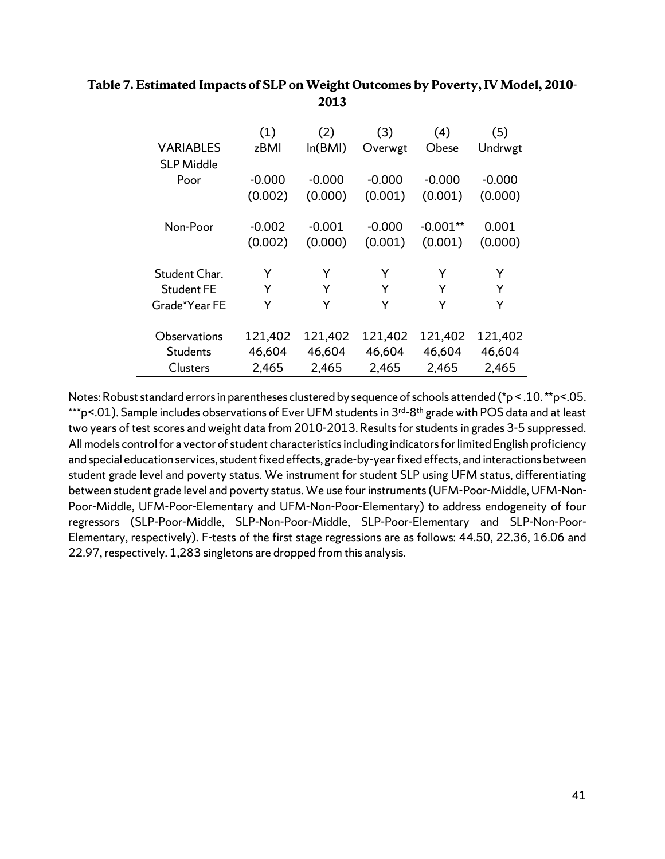|                   | (1)      | (2)      | (3)      | (4)        | (5)      |
|-------------------|----------|----------|----------|------------|----------|
| <b>VARIABLES</b>  | zBMI     | ln(BMI)  | Overwgt  | Obese      | Undrwgt  |
| <b>SLP Middle</b> |          |          |          |            |          |
| Poor              | $-0.000$ | $-0.000$ | $-0.000$ | $-0.000$   | $-0.000$ |
|                   | (0.002)  | (0.000)  | (0.001)  | (0.001)    | (0.000)  |
|                   |          |          |          |            |          |
| Non-Poor          | $-0.002$ | $-0.001$ | $-0.000$ | $-0.001**$ | 0.001    |
|                   | (0.002)  | (0.000)  | (0.001)  | (0.001)    | (0.000)  |
|                   |          |          |          |            |          |
| Student Char.     | Y        | Y        | Y        | Y          | Y        |
| <b>Student FE</b> | Y        | Y        | Y        | Y          | Y        |
| Grade*Year FE     | Y        | Y        | Y        | Y          | Y        |
|                   |          |          |          |            |          |
| Observations      | 121,402  | 121,402  | 121,402  | 121,402    | 121,402  |
| <b>Students</b>   | 46,604   | 46,604   | 46,604   | 46,604     | 46,604   |
| <b>Clusters</b>   | 2,465    | 2,465    | 2,465    | 2,465      | 2,465    |
|                   |          |          |          |            |          |

**Table 7. Estimated Impacts of SLP on Weight Outcomes by Poverty, IV Model, 2010- 2013**

Notes: Robust standard errors in parentheses clustered by sequence of schools attended (\*p < .10. \*\*p<.05. \*\*\*p<.01). Sample includes observations of Ever UFM students in 3<sup>rd</sup>-8<sup>th</sup> grade with POS data and at least two years of test scores and weight data from 2010-2013. Results for students in grades 3-5 suppressed. All models control for a vector of student characteristics including indicators for limited English proficiency and special education services, student fixed effects, grade-by-year fixed effects, and interactions between student grade level and poverty status. We instrument for student SLP using UFM status, differentiating between student grade level and poverty status. We use four instruments (UFM-Poor-Middle, UFM-Non-Poor-Middle, UFM-Poor-Elementary and UFM-Non-Poor-Elementary) to address endogeneity of four regressors (SLP-Poor-Middle, SLP-Non-Poor-Middle, SLP-Poor-Elementary and SLP-Non-Poor-Elementary, respectively). F-tests of the first stage regressions are as follows: 44.50, 22.36, 16.06 and 22.97, respectively. 1,283 singletons are dropped from this analysis.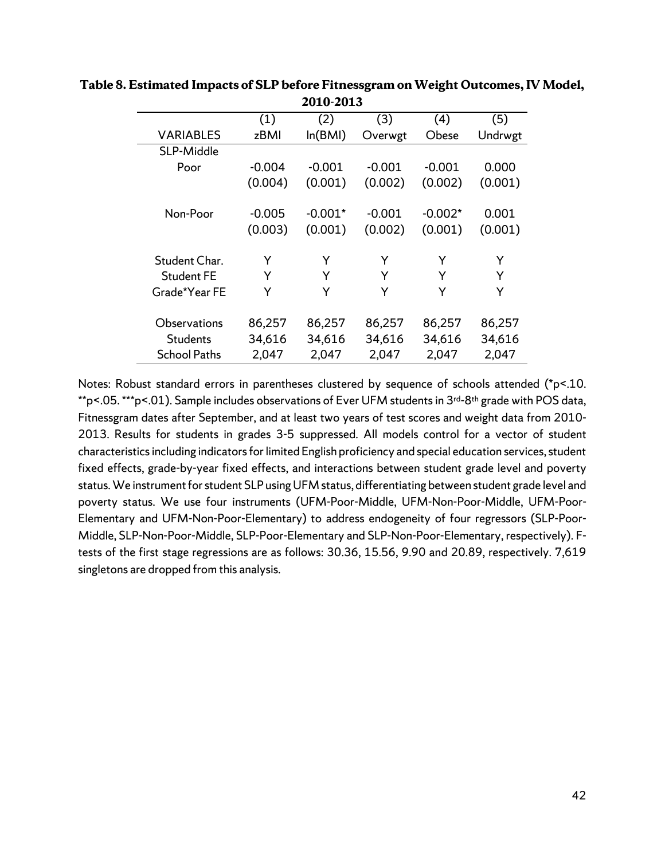|                     | (1)                 | (2)                  | (3)                 | (4)                  | (5)              |
|---------------------|---------------------|----------------------|---------------------|----------------------|------------------|
| <b>VARIABLES</b>    | zBMI                | ln(BMI)              | Overwgt             | Obese                | Undrwgt          |
| SLP-Middle          |                     |                      |                     |                      |                  |
| Poor                | $-0.004$            | $-0.001$             | $-0.001$            | $-0.001$             | 0.000            |
|                     | (0.004)             | (0.001)              | (0.002)             | (0.002)              | (0.001)          |
| Non-Poor            | $-0.005$<br>(0.003) | $-0.001*$<br>(0.001) | $-0.001$<br>(0.002) | $-0.002*$<br>(0.001) | 0.001<br>(0.001) |
| Student Char.       | Y                   | Y                    | Y                   | Υ                    | Y                |
| <b>Student FE</b>   | Y                   | Y                    | Y                   | Υ                    | Y                |
| Grade*Year FE       | Y                   | Y                    | Y                   | Υ                    | Y                |
| Observations        | 86,257              | 86,257               | 86,257              | 86,257               | 86,257           |
| <b>Students</b>     | 34,616              | 34,616               | 34,616              | 34,616               | 34,616           |
| <b>School Paths</b> | 2,047               | 2,047                | 2,047               | 2,047                | 2,047            |

#### **Table 8. Estimated Impacts of SLP before Fitnessgram on Weight Outcomes, IV Model, 2010-2013**

Notes: Robust standard errors in parentheses clustered by sequence of schools attended (\*p<.10. \*\*p<.05. \*\*\*p<.01). Sample includes observations of Ever UFM students in 3<sup>rd-8th</sup> grade with POS data, Fitnessgram dates after September, and at least two years of test scores and weight data from 2010- 2013. Results for students in grades 3-5 suppressed. All models control for a vector of student characteristics including indicators for limited English proficiency and special education services, student fixed effects, grade-by-year fixed effects, and interactions between student grade level and poverty status. We instrument for student SLP using UFM status, differentiating between student grade level and poverty status. We use four instruments (UFM-Poor-Middle, UFM-Non-Poor-Middle, UFM-Poor-Elementary and UFM-Non-Poor-Elementary) to address endogeneity of four regressors (SLP-Poor-Middle, SLP-Non-Poor-Middle, SLP-Poor-Elementary and SLP-Non-Poor-Elementary, respectively). Ftests of the first stage regressions are as follows: 30.36, 15.56, 9.90 and 20.89, respectively. 7,619 singletons are dropped from this analysis.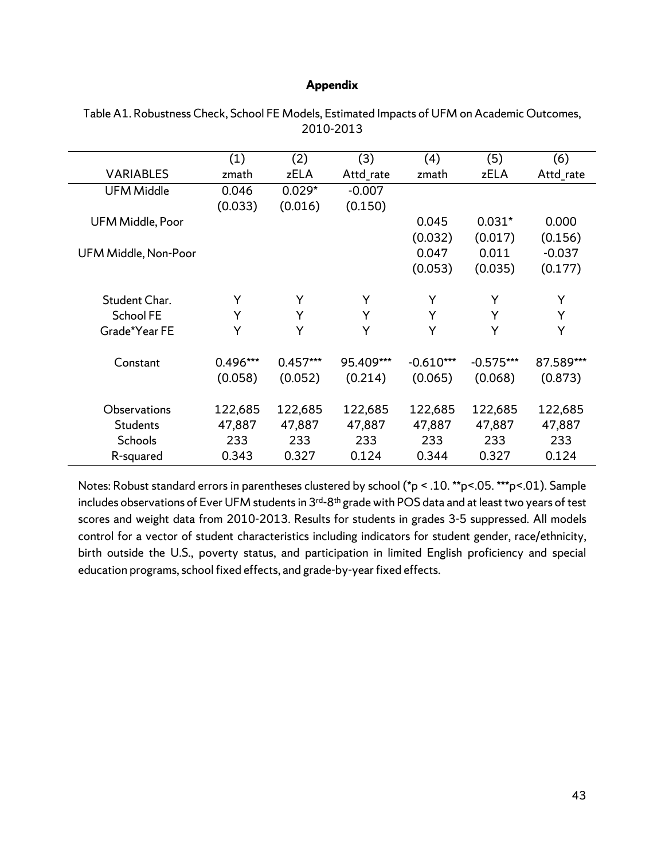#### **Appendix**

|                      | (1)      | (2)        | (3)       | (4)         | (5)         | (6)       |
|----------------------|----------|------------|-----------|-------------|-------------|-----------|
| <b>VARIABLES</b>     | zmath    | zELA       | Attd_rate | zmath       | zELA        | Attd_rate |
| <b>UFM Middle</b>    | 0.046    | $0.029*$   | $-0.007$  |             |             |           |
|                      | (0.033)  | (0.016)    | (0.150)   |             |             |           |
| UFM Middle, Poor     |          |            |           | 0.045       | $0.031*$    | 0.000     |
|                      |          |            |           | (0.032)     | (0.017)     | (0.156)   |
| UFM Middle, Non-Poor |          |            |           | 0.047       | 0.011       | $-0.037$  |
|                      |          |            |           | (0.053)     | (0.035)     | (0.177)   |
|                      |          |            |           |             |             |           |
| Student Char.        | Y        | Y          | Y         | Y           | Y           | Y         |
| <b>School FE</b>     | Y        | Y          | Y         | Y           | Y           | Y         |
| Grade*Year FE        | Y        | Y          | Y         | Y           | Y           | Y         |
|                      |          |            |           |             |             |           |
| Constant             | 0.496*** | $0.457***$ | 95.409*** | $-0.610***$ | $-0.575***$ | 87.589*** |
|                      | (0.058)  | (0.052)    | (0.214)   | (0.065)     | (0.068)     | (0.873)   |
|                      |          |            |           |             |             |           |
| Observations         | 122,685  | 122,685    | 122,685   | 122,685     | 122,685     | 122,685   |
| <b>Students</b>      | 47,887   | 47,887     | 47,887    | 47,887      | 47,887      | 47,887    |
| Schools              | 233      | 233        | 233       | 233         | 233         | 233       |
| R-squared            | 0.343    | 0.327      | 0.124     | 0.344       | 0.327       | 0.124     |

Table A1. Robustness Check, School FE Models, Estimated Impacts of UFM on Academic Outcomes, 2010-2013

Notes: Robust standard errors in parentheses clustered by school (\*p < .10. \*\*p<.05. \*\*\*p<.01). Sample includes observations of Ever UFM students in 3<sup>rd-8th</sup> grade with POS data and at least two years of test scores and weight data from 2010-2013. Results for students in grades 3-5 suppressed. All models control for a vector of student characteristics including indicators for student gender, race/ethnicity, birth outside the U.S., poverty status, and participation in limited English proficiency and special education programs, school fixed effects, and grade-by-year fixed effects.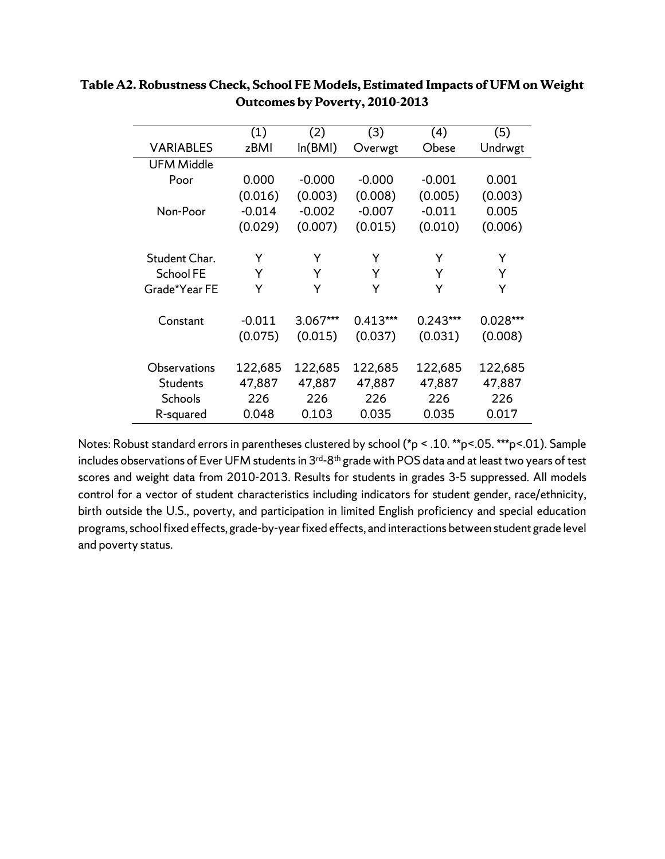|                   | (1)      | (2)      | (3)        | (4)        | (5)        |
|-------------------|----------|----------|------------|------------|------------|
| <b>VARIABLES</b>  | zBMI     | ln(BMI)  | Overwgt    | Obese      | Undrwgt    |
| <b>UFM Middle</b> |          |          |            |            |            |
| Poor              | 0.000    | $-0.000$ | $-0.000$   | $-0.001$   | 0.001      |
|                   | (0.016)  | (0.003)  | (0.008)    | (0.005)    | (0.003)    |
| Non-Poor          | $-0.014$ | $-0.002$ | $-0.007$   | $-0.011$   | 0.005      |
|                   | (0.029)  | (0.007)  | (0.015)    | (0.010)    | (0.006)    |
|                   |          |          |            |            |            |
| Student Char.     | Y        | Y        | Y          | Y          | Y          |
| School FE         | Y        | Y        | Y          | Y          | Y          |
| Grade*Year FE     | Y        | Y        | Y          | Y          | Y          |
|                   |          |          |            |            |            |
| Constant          | $-0.011$ | 3.067*** | $0.413***$ | $0.243***$ | $0.028***$ |
|                   | (0.075)  | (0.015)  | (0.037)    | (0.031)    | (0.008)    |
|                   |          |          |            |            |            |
| Observations      | 122,685  | 122,685  | 122,685    | 122,685    | 122,685    |
| <b>Students</b>   | 47,887   | 47,887   | 47,887     | 47,887     | 47,887     |
| Schools           | 226      | 226      | 226        | 226        | 226        |
| R-squared         | 0.048    | 0.103    | 0.035      | 0.035      | 0.017      |

# **Table A2. Robustness Check, School FE Models, Estimated Impacts of UFM on Weight Outcomes by Poverty, 2010-2013**

Notes: Robust standard errors in parentheses clustered by school (\*p < .10. \*\*p<.05. \*\*\*p<.01). Sample includes observations of Ever UFM students in 3<sup>rd-8th</sup> grade with POS data and at least two years of test scores and weight data from 2010-2013. Results for students in grades 3-5 suppressed. All models control for a vector of student characteristics including indicators for student gender, race/ethnicity, birth outside the U.S., poverty, and participation in limited English proficiency and special education programs, school fixed effects, grade-by-year fixed effects, and interactions between student grade level and poverty status.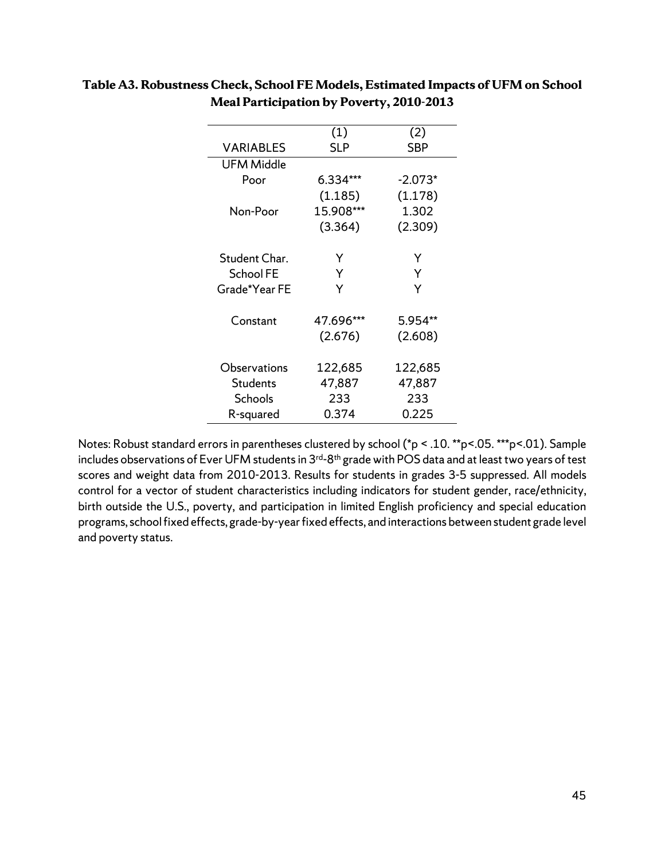|                  | (1)        | (2)       |  |  |  |
|------------------|------------|-----------|--|--|--|
| <b>VARIABLES</b> | <b>SLP</b> | SBP       |  |  |  |
| UFM Middle       |            |           |  |  |  |
| Poor             | 6.334***   | $-2.073*$ |  |  |  |
|                  | (1.185)    | (1.178)   |  |  |  |
| Non-Poor         | 15.908***  | 1.302     |  |  |  |
|                  | (3.364)    | (2.309)   |  |  |  |
|                  |            |           |  |  |  |
| Student Char.    | Y          | Y         |  |  |  |
| <b>School FE</b> | Y          | Y         |  |  |  |
| Grade*Year FE    | Y          | Y         |  |  |  |
| Constant         | 47.696***  | 5.954**   |  |  |  |
|                  | (2.676)    | (2.608)   |  |  |  |
|                  |            |           |  |  |  |
| Observations     | 122,685    | 122,685   |  |  |  |
| <b>Students</b>  | 47,887     | 47,887    |  |  |  |
| Schools          | 233        | 233       |  |  |  |
| R-squared        | 0.374      | 0.225     |  |  |  |

# **Table A3. Robustness Check, School FE Models, Estimated Impacts of UFM on School Meal Participation by Poverty, 2010-2013**

Notes: Robust standard errors in parentheses clustered by school (\*p < .10. \*\*p<.05. \*\*\*p<.01). Sample includes observations of Ever UFM students in 3<sup>rd-8th</sup> grade with POS data and at least two years of test scores and weight data from 2010-2013. Results for students in grades 3-5 suppressed. All models control for a vector of student characteristics including indicators for student gender, race/ethnicity, birth outside the U.S., poverty, and participation in limited English proficiency and special education programs, school fixed effects, grade-by-year fixed effects, and interactions between student grade level and poverty status.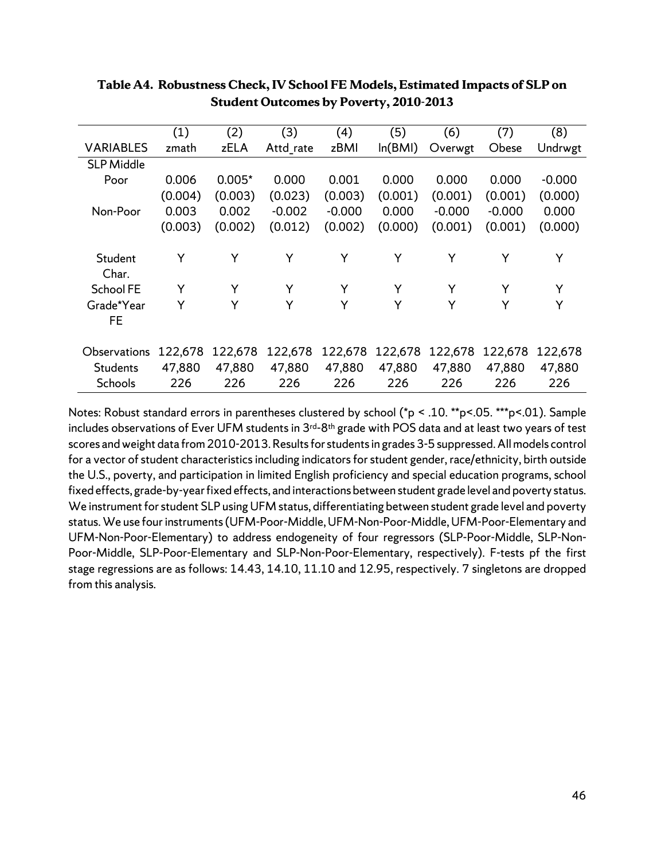|                   | (1)     | (2)      | (3)       | (4)      | (5)     | (6)      | (7)      | (8)      |
|-------------------|---------|----------|-----------|----------|---------|----------|----------|----------|
| <b>VARIABLES</b>  | zmath   | zELA     | Attd rate | zBMI     | ln(BMI) | Overwgt  | Obese    | Undrwgt  |
| <b>SLP Middle</b> |         |          |           |          |         |          |          |          |
| Poor              | 0.006   | $0.005*$ | 0.000     | 0.001    | 0.000   | 0.000    | 0.000    | $-0.000$ |
|                   | (0.004) | (0.003)  | (0.023)   | (0.003)  | (0.001) | (0.001)  | (0.001)  | (0.000)  |
| Non-Poor          | 0.003   | 0.002    | $-0.002$  | $-0.000$ | 0.000   | $-0.000$ | $-0.000$ | 0.000    |
|                   | (0.003) | (0.002)  | (0.012)   | (0.002)  | (0.000) | (0.001)  | (0.001)  | (0.000)  |
|                   |         |          |           |          |         |          |          |          |
| Student           | Y       | Y        | Y         | Y        | Y       | Y        | Y        | Y        |
| Char.             |         |          |           |          |         |          |          |          |
| School FE         | Y       | Y        | Y         | Y        | Y       | Y        | Y        | Y        |
| Grade*Year        | Y       | Y        | Y         | Y        | Y       | Y        | Y        | Y        |
| FE                |         |          |           |          |         |          |          |          |
|                   |         |          |           |          |         |          |          |          |
| Observations      | 122,678 | 122,678  | 122,678   | 122,678  | 122,678 | 122,678  | 122,678  | 122,678  |
| Students          | 47,880  | 47,880   | 47,880    | 47,880   | 47,880  | 47,880   | 47,880   | 47,880   |
| <b>Schools</b>    | 226     | 226      | 226       | 226      | 226     | 226      | 226      | 226      |

#### **Table A4. Robustness Check, IV School FE Models, Estimated Impacts of SLP on Student Outcomes by Poverty, 2010-2013**

Notes: Robust standard errors in parentheses clustered by school (\*p < .10. \*\*p<.05. \*\*\*p<.01). Sample includes observations of Ever UFM students in 3<sup>rd-8th</sup> grade with POS data and at least two years of test scores and weight data from 2010-2013. Results for students in grades 3-5 suppressed. All models control for a vector of student characteristics including indicators for student gender, race/ethnicity, birth outside the U.S., poverty, and participation in limited English proficiency and special education programs, school fixed effects, grade-by-year fixed effects, and interactions between student grade level and poverty status. We instrument for student SLP using UFM status, differentiating between student grade level and poverty status. We use four instruments (UFM-Poor-Middle, UFM-Non-Poor-Middle, UFM-Poor-Elementary and UFM-Non-Poor-Elementary) to address endogeneity of four regressors (SLP-Poor-Middle, SLP-Non-Poor-Middle, SLP-Poor-Elementary and SLP-Non-Poor-Elementary, respectively). F-tests pf the first stage regressions are as follows: 14.43, 14.10, 11.10 and 12.95, respectively. 7 singletons are dropped from this analysis.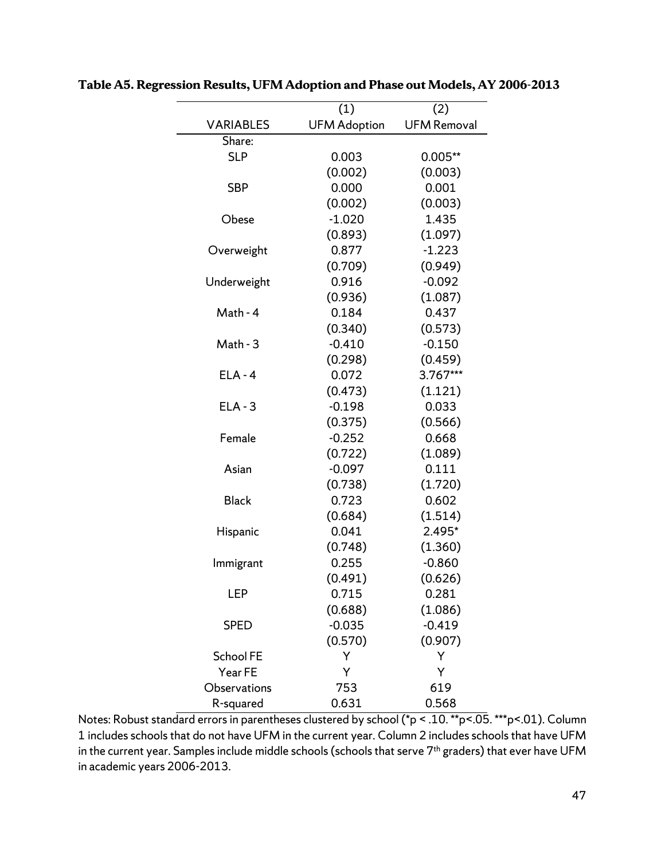|                  | (1)                 | (2)                |  |  |  |
|------------------|---------------------|--------------------|--|--|--|
| <b>VARIABLES</b> | <b>UFM Adoption</b> | <b>UFM Removal</b> |  |  |  |
| Share:           |                     |                    |  |  |  |
| <b>SLP</b>       | 0.003               | $0.005**$          |  |  |  |
|                  | (0.002)             | (0.003)            |  |  |  |
| <b>SBP</b>       | 0.000               | 0.001              |  |  |  |
|                  | (0.002)             | (0.003)            |  |  |  |
| Obese            | $-1.020$            | 1.435              |  |  |  |
|                  | (0.893)             | (1.097)            |  |  |  |
| Overweight       | 0.877               | $-1.223$           |  |  |  |
|                  | (0.709)             | (0.949)            |  |  |  |
| Underweight      | 0.916               | $-0.092$           |  |  |  |
|                  | (0.936)             | (1.087)            |  |  |  |
| Math - 4         | 0.184               | 0.437              |  |  |  |
|                  | (0.340)             | (0.573)            |  |  |  |
| Math - 3         | $-0.410$            | $-0.150$           |  |  |  |
|                  | (0.298)             | (0.459)            |  |  |  |
| $ELA - 4$        | 0.072               | 3.767***           |  |  |  |
|                  | (0.473)             | (1.121)            |  |  |  |
| $ELA - 3$        | $-0.198$            | 0.033              |  |  |  |
|                  | (0.375)             | (0.566)            |  |  |  |
| Female           | $-0.252$            | 0.668              |  |  |  |
|                  | (0.722)             | (1.089)            |  |  |  |
| Asian            | $-0.097$            | 0.111              |  |  |  |
|                  | (0.738)             | (1.720)            |  |  |  |
| <b>Black</b>     | 0.723               | 0.602              |  |  |  |
|                  | (0.684)             | (1.514)            |  |  |  |
| Hispanic         | 0.041               | 2.495*             |  |  |  |
|                  | (0.748)             | (1.360)            |  |  |  |
| Immigrant        | 0.255               | $-0.860$           |  |  |  |
|                  | (0.491)             | (0.626)            |  |  |  |
| LEP              | 0.715               | 0.281              |  |  |  |
|                  | (0.688)             | (1.086)            |  |  |  |
| <b>SPED</b>      | $-0.035$            | $-0.419$           |  |  |  |
|                  | (0.570)             | (0.907)            |  |  |  |
| <b>School FE</b> | Y                   | Y                  |  |  |  |
| Year FE          | Y                   | Y                  |  |  |  |
| Observations     | 753                 | 619                |  |  |  |
| R-squared        | 0.631               | 0.568              |  |  |  |

**Table A5. Regression Results, UFM Adoption and Phase out Models, AY 2006-2013**

Notes: Robust standard errors in parentheses clustered by school (\*p < .10. \*\*p<.05. \*\*\*p<.01). Column 1 includes schools that do not have UFM in the current year. Column 2 includes schools that have UFM in the current year. Samples include middle schools (schools that serve 7<sup>th</sup> graders) that ever have UFM in academic years 2006-2013.